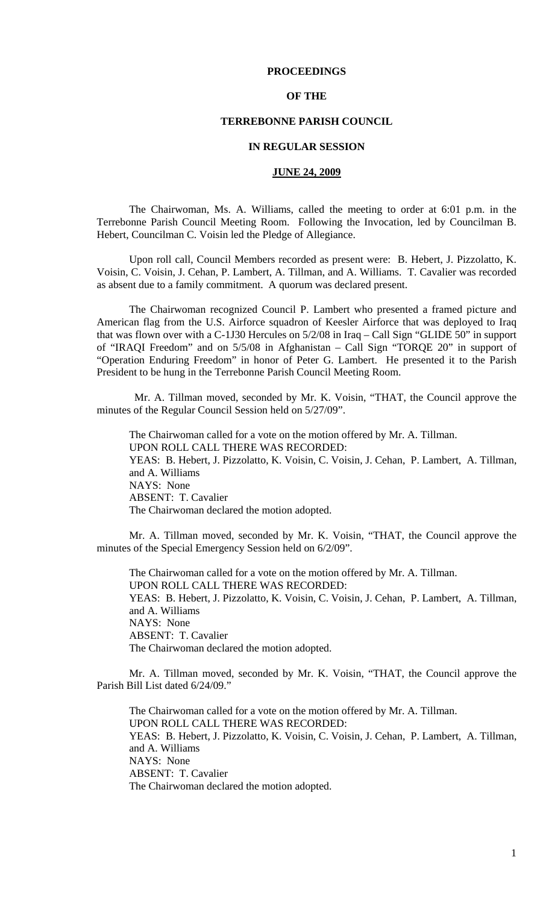# **PROCEEDINGS**

## **OF THE**

# **TERREBONNE PARISH COUNCIL**

### **IN REGULAR SESSION**

### **JUNE 24, 2009**

 The Chairwoman, Ms. A. Williams, called the meeting to order at 6:01 p.m. in the Terrebonne Parish Council Meeting Room. Following the Invocation, led by Councilman B. Hebert, Councilman C. Voisin led the Pledge of Allegiance.

Upon roll call, Council Members recorded as present were: B. Hebert, J. Pizzolatto, K. Voisin, C. Voisin, J. Cehan, P. Lambert, A. Tillman, and A. Williams. T. Cavalier was recorded as absent due to a family commitment. A quorum was declared present.

 The Chairwoman recognized Council P. Lambert who presented a framed picture and American flag from the U.S. Airforce squadron of Keesler Airforce that was deployed to Iraq that was flown over with a C-1J30 Hercules on 5/2/08 in Iraq – Call Sign "GLIDE 50" in support of "IRAQI Freedom" and on 5/5/08 in Afghanistan – Call Sign "TORQE 20" in support of "Operation Enduring Freedom" in honor of Peter G. Lambert. He presented it to the Parish President to be hung in the Terrebonne Parish Council Meeting Room.

 Mr. A. Tillman moved, seconded by Mr. K. Voisin, "THAT, the Council approve the minutes of the Regular Council Session held on 5/27/09".

The Chairwoman called for a vote on the motion offered by Mr. A. Tillman. UPON ROLL CALL THERE WAS RECORDED: YEAS: B. Hebert, J. Pizzolatto, K. Voisin, C. Voisin, J. Cehan, P. Lambert, A. Tillman, and A. Williams NAYS: None ABSENT: T. Cavalier The Chairwoman declared the motion adopted.

 Mr. A. Tillman moved, seconded by Mr. K. Voisin, "THAT, the Council approve the minutes of the Special Emergency Session held on 6/2/09".

 The Chairwoman called for a vote on the motion offered by Mr. A. Tillman. UPON ROLL CALL THERE WAS RECORDED: YEAS: B. Hebert, J. Pizzolatto, K. Voisin, C. Voisin, J. Cehan, P. Lambert, A. Tillman, and A. Williams NAYS: None ABSENT: T. Cavalier The Chairwoman declared the motion adopted.

Mr. A. Tillman moved, seconded by Mr. K. Voisin, "THAT, the Council approve the Parish Bill List dated 6/24/09."

The Chairwoman called for a vote on the motion offered by Mr. A. Tillman. UPON ROLL CALL THERE WAS RECORDED: YEAS: B. Hebert, J. Pizzolatto, K. Voisin, C. Voisin, J. Cehan, P. Lambert, A. Tillman, and A. Williams NAYS: None ABSENT: T. Cavalier The Chairwoman declared the motion adopted.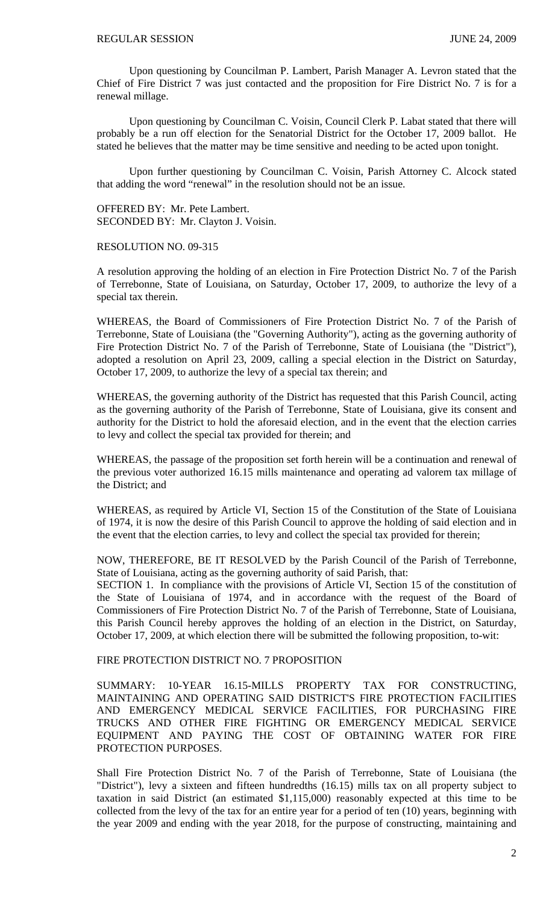Upon questioning by Councilman P. Lambert, Parish Manager A. Levron stated that the Chief of Fire District 7 was just contacted and the proposition for Fire District No. 7 is for a renewal millage.

Upon questioning by Councilman C. Voisin, Council Clerk P. Labat stated that there will probably be a run off election for the Senatorial District for the October 17, 2009 ballot. He stated he believes that the matter may be time sensitive and needing to be acted upon tonight.

Upon further questioning by Councilman C. Voisin, Parish Attorney C. Alcock stated that adding the word "renewal" in the resolution should not be an issue.

OFFERED BY: Mr. Pete Lambert. SECONDED BY: Mr. Clayton J. Voisin.

#### RESOLUTION NO. 09-315

A resolution approving the holding of an election in Fire Protection District No. 7 of the Parish of Terrebonne, State of Louisiana, on Saturday, October 17, 2009, to authorize the levy of a special tax therein.

WHEREAS, the Board of Commissioners of Fire Protection District No. 7 of the Parish of Terrebonne, State of Louisiana (the "Governing Authority"), acting as the governing authority of Fire Protection District No. 7 of the Parish of Terrebonne, State of Louisiana (the "District"), adopted a resolution on April 23, 2009, calling a special election in the District on Saturday, October 17, 2009, to authorize the levy of a special tax therein; and

WHEREAS, the governing authority of the District has requested that this Parish Council, acting as the governing authority of the Parish of Terrebonne, State of Louisiana, give its consent and authority for the District to hold the aforesaid election, and in the event that the election carries to levy and collect the special tax provided for therein; and

WHEREAS, the passage of the proposition set forth herein will be a continuation and renewal of the previous voter authorized 16.15 mills maintenance and operating ad valorem tax millage of the District; and

WHEREAS, as required by Article VI, Section 15 of the Constitution of the State of Louisiana of 1974, it is now the desire of this Parish Council to approve the holding of said election and in the event that the election carries, to levy and collect the special tax provided for therein;

NOW, THEREFORE, BE IT RESOLVED by the Parish Council of the Parish of Terrebonne, State of Louisiana, acting as the governing authority of said Parish, that:

SECTION 1. In compliance with the provisions of Article VI, Section 15 of the constitution of the State of Louisiana of 1974, and in accordance with the request of the Board of Commissioners of Fire Protection District No. 7 of the Parish of Terrebonne, State of Louisiana, this Parish Council hereby approves the holding of an election in the District, on Saturday, October 17, 2009, at which election there will be submitted the following proposition, to-wit:

### FIRE PROTECTION DISTRICT NO. 7 PROPOSITION

SUMMARY: 10-YEAR 16.15-MILLS PROPERTY TAX FOR CONSTRUCTING, MAINTAINING AND OPERATING SAID DISTRICT'S FIRE PROTECTION FACILITIES AND EMERGENCY MEDICAL SERVICE FACILITIES, FOR PURCHASING FIRE TRUCKS AND OTHER FIRE FIGHTING OR EMERGENCY MEDICAL SERVICE EQUIPMENT AND PAYING THE COST OF OBTAINING WATER FOR FIRE PROTECTION PURPOSES.

Shall Fire Protection District No. 7 of the Parish of Terrebonne, State of Louisiana (the "District"), levy a sixteen and fifteen hundredths (16.15) mills tax on all property subject to taxation in said District (an estimated \$1,115,000) reasonably expected at this time to be collected from the levy of the tax for an entire year for a period of ten (10) years, beginning with the year 2009 and ending with the year 2018, for the purpose of constructing, maintaining and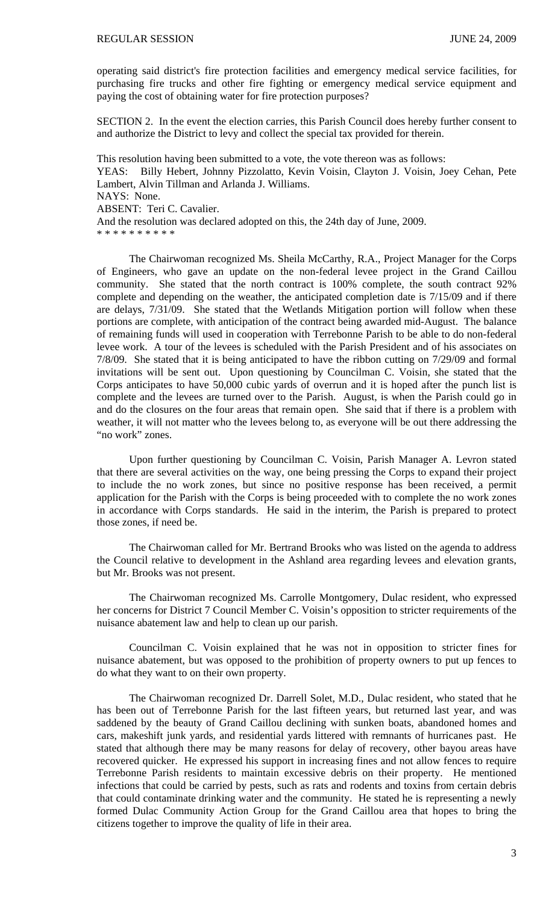operating said district's fire protection facilities and emergency medical service facilities, for purchasing fire trucks and other fire fighting or emergency medical service equipment and paying the cost of obtaining water for fire protection purposes?

SECTION 2. In the event the election carries, this Parish Council does hereby further consent to and authorize the District to levy and collect the special tax provided for therein.

This resolution having been submitted to a vote, the vote thereon was as follows: YEAS: Billy Hebert, Johnny Pizzolatto, Kevin Voisin, Clayton J. Voisin, Joey Cehan, Pete Lambert, Alvin Tillman and Arlanda J. Williams. NAYS: None. ABSENT: Teri C. Cavalier. And the resolution was declared adopted on this, the 24th day of June, 2009. \* \* \* \* \* \* \* \* \* \*

 The Chairwoman recognized Ms. Sheila McCarthy, R.A., Project Manager for the Corps of Engineers, who gave an update on the non-federal levee project in the Grand Caillou community. She stated that the north contract is 100% complete, the south contract 92% complete and depending on the weather, the anticipated completion date is 7/15/09 and if there are delays, 7/31/09. She stated that the Wetlands Mitigation portion will follow when these portions are complete, with anticipation of the contract being awarded mid-August. The balance of remaining funds will used in cooperation with Terrebonne Parish to be able to do non-federal levee work. A tour of the levees is scheduled with the Parish President and of his associates on 7/8/09. She stated that it is being anticipated to have the ribbon cutting on 7/29/09 and formal invitations will be sent out. Upon questioning by Councilman C. Voisin, she stated that the Corps anticipates to have 50,000 cubic yards of overrun and it is hoped after the punch list is complete and the levees are turned over to the Parish. August, is when the Parish could go in and do the closures on the four areas that remain open. She said that if there is a problem with weather, it will not matter who the levees belong to, as everyone will be out there addressing the "no work" zones.

 Upon further questioning by Councilman C. Voisin, Parish Manager A. Levron stated that there are several activities on the way, one being pressing the Corps to expand their project to include the no work zones, but since no positive response has been received, a permit application for the Parish with the Corps is being proceeded with to complete the no work zones in accordance with Corps standards. He said in the interim, the Parish is prepared to protect those zones, if need be.

The Chairwoman called for Mr. Bertrand Brooks who was listed on the agenda to address the Council relative to development in the Ashland area regarding levees and elevation grants, but Mr. Brooks was not present.

The Chairwoman recognized Ms. Carrolle Montgomery, Dulac resident, who expressed her concerns for District 7 Council Member C. Voisin's opposition to stricter requirements of the nuisance abatement law and help to clean up our parish.

Councilman C. Voisin explained that he was not in opposition to stricter fines for nuisance abatement, but was opposed to the prohibition of property owners to put up fences to do what they want to on their own property.

The Chairwoman recognized Dr. Darrell Solet, M.D., Dulac resident, who stated that he has been out of Terrebonne Parish for the last fifteen years, but returned last year, and was saddened by the beauty of Grand Caillou declining with sunken boats, abandoned homes and cars, makeshift junk yards, and residential yards littered with remnants of hurricanes past. He stated that although there may be many reasons for delay of recovery, other bayou areas have recovered quicker. He expressed his support in increasing fines and not allow fences to require Terrebonne Parish residents to maintain excessive debris on their property. He mentioned infections that could be carried by pests, such as rats and rodents and toxins from certain debris that could contaminate drinking water and the community. He stated he is representing a newly formed Dulac Community Action Group for the Grand Caillou area that hopes to bring the citizens together to improve the quality of life in their area.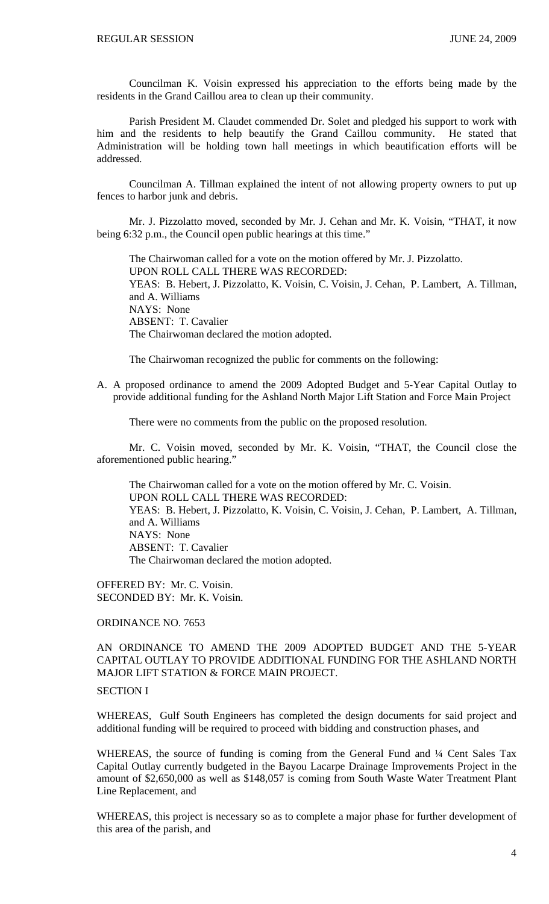Councilman K. Voisin expressed his appreciation to the efforts being made by the residents in the Grand Caillou area to clean up their community.

Parish President M. Claudet commended Dr. Solet and pledged his support to work with him and the residents to help beautify the Grand Caillou community. He stated that Administration will be holding town hall meetings in which beautification efforts will be addressed.

Councilman A. Tillman explained the intent of not allowing property owners to put up fences to harbor junk and debris.

 Mr. J. Pizzolatto moved, seconded by Mr. J. Cehan and Mr. K. Voisin, "THAT, it now being 6:32 p.m., the Council open public hearings at this time."

 The Chairwoman called for a vote on the motion offered by Mr. J. Pizzolatto. UPON ROLL CALL THERE WAS RECORDED: YEAS: B. Hebert, J. Pizzolatto, K. Voisin, C. Voisin, J. Cehan, P. Lambert, A. Tillman, and A. Williams NAYS: None ABSENT: T. Cavalier The Chairwoman declared the motion adopted.

The Chairwoman recognized the public for comments on the following:

A. A proposed ordinance to amend the 2009 Adopted Budget and 5-Year Capital Outlay to provide additional funding for the Ashland North Major Lift Station and Force Main Project

There were no comments from the public on the proposed resolution.

 Mr. C. Voisin moved, seconded by Mr. K. Voisin, "THAT, the Council close the aforementioned public hearing."

 The Chairwoman called for a vote on the motion offered by Mr. C. Voisin. UPON ROLL CALL THERE WAS RECORDED: YEAS: B. Hebert, J. Pizzolatto, K. Voisin, C. Voisin, J. Cehan, P. Lambert, A. Tillman, and A. Williams NAYS: None ABSENT: T. Cavalier The Chairwoman declared the motion adopted.

OFFERED BY: Mr. C. Voisin. SECONDED BY: Mr. K. Voisin.

ORDINANCE NO. 7653

AN ORDINANCE TO AMEND THE 2009 ADOPTED BUDGET AND THE 5-YEAR CAPITAL OUTLAY TO PROVIDE ADDITIONAL FUNDING FOR THE ASHLAND NORTH MAJOR LIFT STATION & FORCE MAIN PROJECT.

# SECTION I

WHEREAS, Gulf South Engineers has completed the design documents for said project and additional funding will be required to proceed with bidding and construction phases, and

WHEREAS, the source of funding is coming from the General Fund and <sup>1</sup>/4 Cent Sales Tax Capital Outlay currently budgeted in the Bayou Lacarpe Drainage Improvements Project in the amount of \$2,650,000 as well as \$148,057 is coming from South Waste Water Treatment Plant Line Replacement, and

WHEREAS, this project is necessary so as to complete a major phase for further development of this area of the parish, and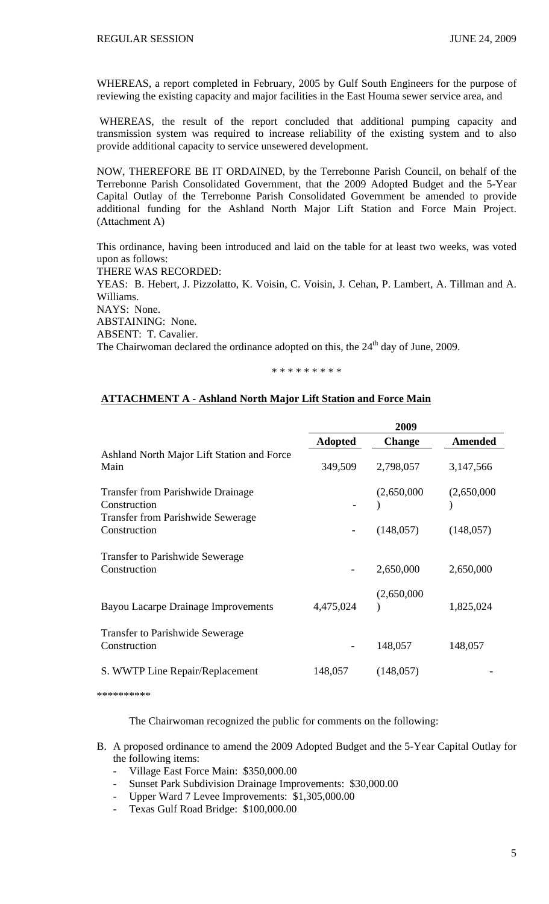WHEREAS, a report completed in February, 2005 by Gulf South Engineers for the purpose of reviewing the existing capacity and major facilities in the East Houma sewer service area, and

 WHEREAS, the result of the report concluded that additional pumping capacity and transmission system was required to increase reliability of the existing system and to also provide additional capacity to service unsewered development.

NOW, THEREFORE BE IT ORDAINED, by the Terrebonne Parish Council, on behalf of the Terrebonne Parish Consolidated Government, that the 2009 Adopted Budget and the 5-Year Capital Outlay of the Terrebonne Parish Consolidated Government be amended to provide additional funding for the Ashland North Major Lift Station and Force Main Project. (Attachment A)

This ordinance, having been introduced and laid on the table for at least two weeks, was voted upon as follows: THERE WAS RECORDED: YEAS: B. Hebert, J. Pizzolatto, K. Voisin, C. Voisin, J. Cehan, P. Lambert, A. Tillman and A. Williams.

NAYS: None.

ABSTAINING: None.

ABSENT: T. Cavalier.

The Chairwoman declared the ordinance adopted on this, the 24<sup>th</sup> day of June, 2009.

\* \* \* \* \* \* \* \* \*

# **ATTACHMENT A - Ashland North Major Lift Station and Force Main**

|                                                          | 2009           |               |                |
|----------------------------------------------------------|----------------|---------------|----------------|
|                                                          | <b>Adopted</b> | <b>Change</b> | <b>Amended</b> |
| Ashland North Major Lift Station and Force<br>Main       | 349,509        | 2,798,057     | 3,147,566      |
| <b>Transfer from Parishwide Drainage</b><br>Construction |                | (2,650,000)   | (2,650,000)    |
| <b>Transfer from Parishwide Sewerage</b><br>Construction |                | (148, 057)    | (148, 057)     |
| <b>Transfer to Parishwide Sewerage</b><br>Construction   |                | 2,650,000     | 2,650,000      |
| Bayou Lacarpe Drainage Improvements                      | 4,475,024      | (2,650,000)   | 1,825,024      |
| <b>Transfer to Parishwide Sewerage</b><br>Construction   |                | 148,057       | 148,057        |
| S. WWTP Line Repair/Replacement                          | 148,057        | (148, 057)    |                |

\*\*\*\*\*\*\*\*\*\*

The Chairwoman recognized the public for comments on the following:

- B. A proposed ordinance to amend the 2009 Adopted Budget and the 5-Year Capital Outlay for the following items:
	- Village East Force Main: \$350,000.00
	- Sunset Park Subdivision Drainage Improvements: \$30,000.00
	- Upper Ward 7 Levee Improvements: \$1,305,000.00
	- Texas Gulf Road Bridge: \$100,000.00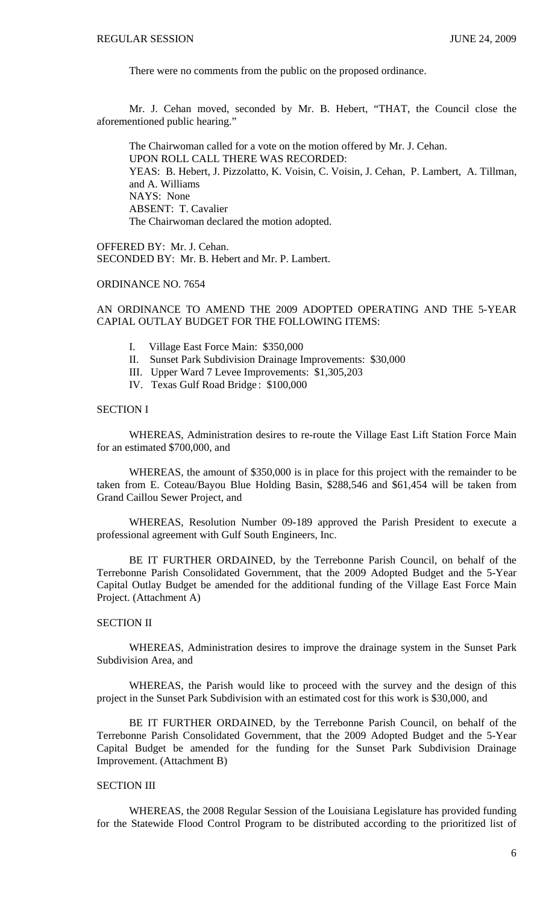There were no comments from the public on the proposed ordinance.

 Mr. J. Cehan moved, seconded by Mr. B. Hebert, "THAT, the Council close the aforementioned public hearing."

 The Chairwoman called for a vote on the motion offered by Mr. J. Cehan. UPON ROLL CALL THERE WAS RECORDED: YEAS: B. Hebert, J. Pizzolatto, K. Voisin, C. Voisin, J. Cehan, P. Lambert, A. Tillman, and A. Williams NAYS: None ABSENT: T. Cavalier The Chairwoman declared the motion adopted.

OFFERED BY: Mr. J. Cehan. SECONDED BY: Mr. B. Hebert and Mr. P. Lambert.

# ORDINANCE NO. 7654

AN ORDINANCE TO AMEND THE 2009 ADOPTED OPERATING AND THE 5-YEAR CAPIAL OUTLAY BUDGET FOR THE FOLLOWING ITEMS:

- I. Village East Force Main: \$350,000
- II. Sunset Park Subdivision Drainage Improvements: \$30,000
- III. Upper Ward 7 Levee Improvements: \$1,305,203
- IV. Texas Gulf Road Bridge : \$100,000

### SECTION I

 WHEREAS, Administration desires to re-route the Village East Lift Station Force Main for an estimated \$700,000, and

 WHEREAS, the amount of \$350,000 is in place for this project with the remainder to be taken from E. Coteau/Bayou Blue Holding Basin, \$288,546 and \$61,454 will be taken from Grand Caillou Sewer Project, and

WHEREAS, Resolution Number 09-189 approved the Parish President to execute a professional agreement with Gulf South Engineers, Inc.

 BE IT FURTHER ORDAINED, by the Terrebonne Parish Council, on behalf of the Terrebonne Parish Consolidated Government, that the 2009 Adopted Budget and the 5-Year Capital Outlay Budget be amended for the additional funding of the Village East Force Main Project. (Attachment A)

## SECTION II

 WHEREAS, Administration desires to improve the drainage system in the Sunset Park Subdivision Area, and

 WHEREAS, the Parish would like to proceed with the survey and the design of this project in the Sunset Park Subdivision with an estimated cost for this work is \$30,000, and

 BE IT FURTHER ORDAINED, by the Terrebonne Parish Council, on behalf of the Terrebonne Parish Consolidated Government, that the 2009 Adopted Budget and the 5-Year Capital Budget be amended for the funding for the Sunset Park Subdivision Drainage Improvement. (Attachment B)

#### SECTION III

 WHEREAS, the 2008 Regular Session of the Louisiana Legislature has provided funding for the Statewide Flood Control Program to be distributed according to the prioritized list of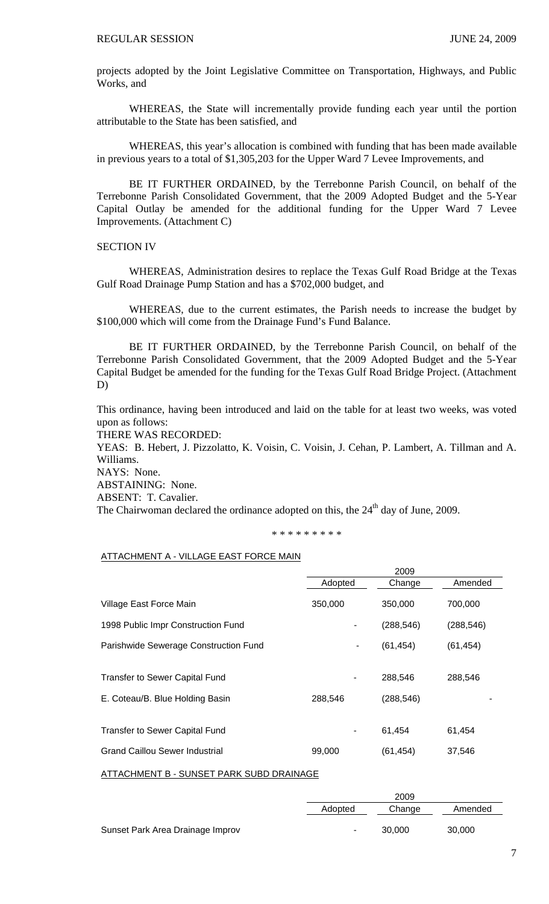projects adopted by the Joint Legislative Committee on Transportation, Highways, and Public Works, and

 WHEREAS, the State will incrementally provide funding each year until the portion attributable to the State has been satisfied, and

 WHEREAS, this year's allocation is combined with funding that has been made available in previous years to a total of \$1,305,203 for the Upper Ward 7 Levee Improvements, and

BE IT FURTHER ORDAINED, by the Terrebonne Parish Council, on behalf of the Terrebonne Parish Consolidated Government, that the 2009 Adopted Budget and the 5-Year Capital Outlay be amended for the additional funding for the Upper Ward 7 Levee Improvements. (Attachment C)

## SECTION IV

 WHEREAS, Administration desires to replace the Texas Gulf Road Bridge at the Texas Gulf Road Drainage Pump Station and has a \$702,000 budget, and

 WHEREAS, due to the current estimates, the Parish needs to increase the budget by \$100,000 which will come from the Drainage Fund's Fund Balance.

 BE IT FURTHER ORDAINED, by the Terrebonne Parish Council, on behalf of the Terrebonne Parish Consolidated Government, that the 2009 Adopted Budget and the 5-Year Capital Budget be amended for the funding for the Texas Gulf Road Bridge Project. (Attachment D)

This ordinance, having been introduced and laid on the table for at least two weeks, was voted upon as follows:

THERE WAS RECORDED:

YEAS: B. Hebert, J. Pizzolatto, K. Voisin, C. Voisin, J. Cehan, P. Lambert, A. Tillman and A. Williams.

NAYS: None.

ABSTAINING: None.

ABSENT: T. Cavalier.

The Chairwoman declared the ordinance adopted on this, the  $24<sup>th</sup>$  day of June, 2009.

#### \* \* \* \* \* \* \* \* \*

# ATTACHMENT A - VILLAGE EAST FORCE MAIN

| 2009    |            |            |
|---------|------------|------------|
| Adopted | Change     | Amended    |
| 350,000 | 350,000    | 700,000    |
|         | (288, 546) | (288, 546) |
| ٠       | (61, 454)  | (61, 454)  |
|         |            |            |
|         | 288,546    | 288,546    |
| 288,546 | (288, 546) |            |
|         |            |            |
|         | 61.454     | 61,454     |
| 99,000  | (61, 454)  | 37,546     |
|         |            |            |

ATTACHMENT B - SUNSET PARK SUBD DRAINAGE

|                                  | 2009           |        |         |
|----------------------------------|----------------|--------|---------|
|                                  | Adopted        | Change | Amended |
| Sunset Park Area Drainage Improv | $\blacksquare$ | 30.000 | 30,000  |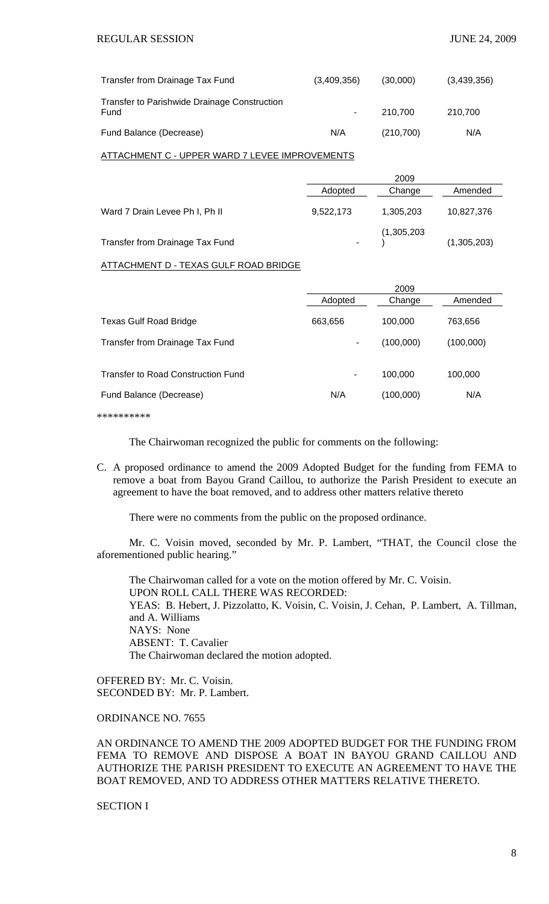| Transfer from Drainage Tax Fund                      | (3,409,356) | (30,000)   | (3,439,356) |
|------------------------------------------------------|-------------|------------|-------------|
| Transfer to Parishwide Drainage Construction<br>Fund |             | 210.700    | 210.700     |
| Fund Balance (Decrease)                              | N/A         | (210, 700) | N/A         |

#### ATTACHMENT C - UPPER WARD 7 LEVEE IMPROVEMENTS

|                                 |           | 2009        |             |  |
|---------------------------------|-----------|-------------|-------------|--|
|                                 | Adopted   | Change      | Amended     |  |
| Ward 7 Drain Levee Ph I, Ph II  | 9,522,173 | 1,305,203   | 10,827,376  |  |
| Transfer from Drainage Tax Fund | ۰         | (1,305,203) | (1,305,203) |  |

#### ATTACHMENT D - TEXAS GULF ROAD BRIDGE

|                                    | 2009    |           |           |
|------------------------------------|---------|-----------|-----------|
|                                    | Adopted | Change    | Amended   |
| <b>Texas Gulf Road Bridge</b>      | 663,656 | 100,000   | 763,656   |
| Transfer from Drainage Tax Fund    | ۰       | (100,000) | (100,000) |
| Transfer to Road Construction Fund | ٠       | 100.000   | 100,000   |
| Fund Balance (Decrease)            | N/A     | (100,000) | N/A       |
|                                    |         |           |           |

\*\*\*\*\*\*\*\*\*\*

The Chairwoman recognized the public for comments on the following:

C. A proposed ordinance to amend the 2009 Adopted Budget for the funding from FEMA to remove a boat from Bayou Grand Caillou, to authorize the Parish President to execute an agreement to have the boat removed, and to address other matters relative thereto

There were no comments from the public on the proposed ordinance.

 Mr. C. Voisin moved, seconded by Mr. P. Lambert, "THAT, the Council close the aforementioned public hearing."

 The Chairwoman called for a vote on the motion offered by Mr. C. Voisin. UPON ROLL CALL THERE WAS RECORDED: YEAS: B. Hebert, J. Pizzolatto, K. Voisin, C. Voisin, J. Cehan, P. Lambert, A. Tillman, and A. Williams NAYS: None ABSENT: T. Cavalier The Chairwoman declared the motion adopted.

OFFERED BY: Mr. C. Voisin. SECONDED BY: Mr. P. Lambert.

ORDINANCE NO. 7655

AN ORDINANCE TO AMEND THE 2009 ADOPTED BUDGET FOR THE FUNDING FROM FEMA TO REMOVE AND DISPOSE A BOAT IN BAYOU GRAND CAILLOU AND AUTHORIZE THE PARISH PRESIDENT TO EXECUTE AN AGREEMENT TO HAVE THE BOAT REMOVED, AND TO ADDRESS OTHER MATTERS RELATIVE THERETO.

SECTION I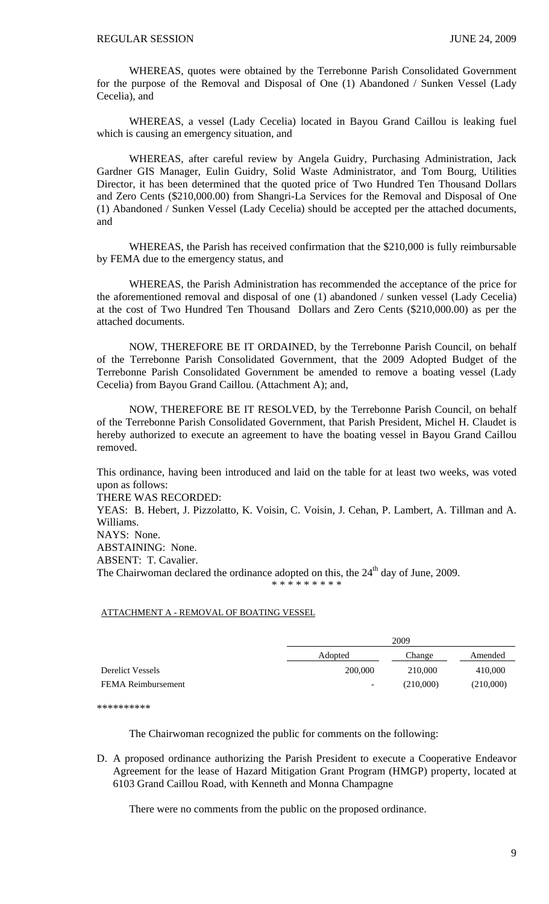WHEREAS, quotes were obtained by the Terrebonne Parish Consolidated Government for the purpose of the Removal and Disposal of One (1) Abandoned / Sunken Vessel (Lady Cecelia), and

WHEREAS, a vessel (Lady Cecelia) located in Bayou Grand Caillou is leaking fuel which is causing an emergency situation, and

 WHEREAS, after careful review by Angela Guidry, Purchasing Administration, Jack Gardner GIS Manager, Eulin Guidry, Solid Waste Administrator, and Tom Bourg, Utilities Director, it has been determined that the quoted price of Two Hundred Ten Thousand Dollars and Zero Cents (\$210,000.00) from Shangri-La Services for the Removal and Disposal of One (1) Abandoned / Sunken Vessel (Lady Cecelia) should be accepted per the attached documents, and

WHEREAS, the Parish has received confirmation that the \$210,000 is fully reimbursable by FEMA due to the emergency status, and

WHEREAS, the Parish Administration has recommended the acceptance of the price for the aforementioned removal and disposal of one (1) abandoned / sunken vessel (Lady Cecelia) at the cost of Two Hundred Ten Thousand Dollars and Zero Cents (\$210,000.00) as per the attached documents.

 NOW, THEREFORE BE IT ORDAINED, by the Terrebonne Parish Council, on behalf of the Terrebonne Parish Consolidated Government, that the 2009 Adopted Budget of the Terrebonne Parish Consolidated Government be amended to remove a boating vessel (Lady Cecelia) from Bayou Grand Caillou. (Attachment A); and,

 NOW, THEREFORE BE IT RESOLVED, by the Terrebonne Parish Council, on behalf of the Terrebonne Parish Consolidated Government, that Parish President, Michel H. Claudet is hereby authorized to execute an agreement to have the boating vessel in Bayou Grand Caillou removed.

This ordinance, having been introduced and laid on the table for at least two weeks, was voted upon as follows:

THERE WAS RECORDED:

YEAS: B. Hebert, J. Pizzolatto, K. Voisin, C. Voisin, J. Cehan, P. Lambert, A. Tillman and A. Williams.

NAYS: None.

ABSTAINING: None.

ABSENT: T. Cavalier.

The Chairwoman declared the ordinance adopted on this, the  $24<sup>th</sup>$  day of June, 2009.

\* \* \* \* \* \* \* \*

#### ATTACHMENT A - REMOVAL OF BOATING VESSEL

|                           | 2009                     |           |           |
|---------------------------|--------------------------|-----------|-----------|
|                           | Adopted                  | Change    | Amended   |
| <b>Derelict Vessels</b>   | 200,000                  | 210,000   | 410,000   |
| <b>FEMA</b> Reimbursement | $\overline{\phantom{a}}$ | (210,000) | (210,000) |

\*\*\*\*\*\*\*\*\*\*

The Chairwoman recognized the public for comments on the following:

D. A proposed ordinance authorizing the Parish President to execute a Cooperative Endeavor Agreement for the lease of Hazard Mitigation Grant Program (HMGP) property, located at 6103 Grand Caillou Road, with Kenneth and Monna Champagne

There were no comments from the public on the proposed ordinance.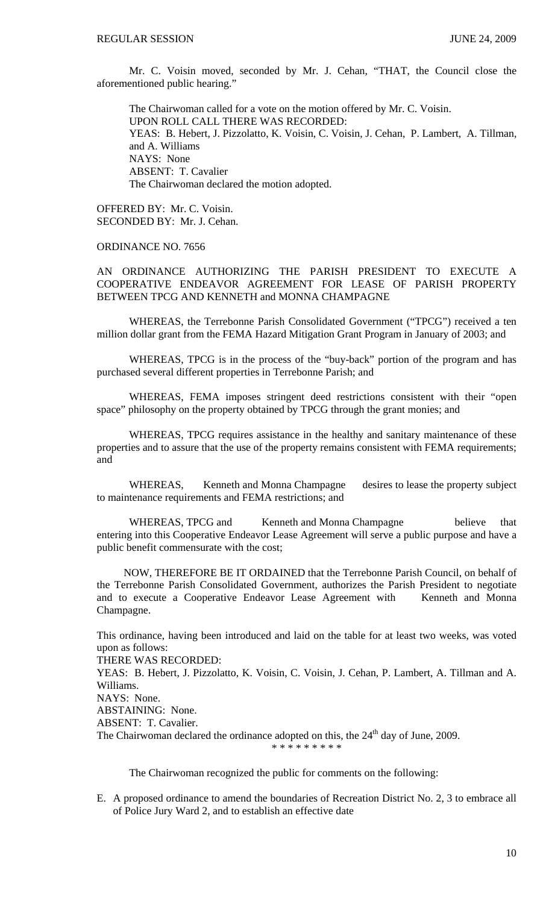Mr. C. Voisin moved, seconded by Mr. J. Cehan, "THAT, the Council close the aforementioned public hearing.'

 The Chairwoman called for a vote on the motion offered by Mr. C. Voisin. UPON ROLL CALL THERE WAS RECORDED: YEAS: B. Hebert, J. Pizzolatto, K. Voisin, C. Voisin, J. Cehan, P. Lambert, A. Tillman, and A. Williams NAYS: None ABSENT: T. Cavalier The Chairwoman declared the motion adopted.

OFFERED BY: Mr. C. Voisin. SECONDED BY: Mr. J. Cehan.

# ORDINANCE NO. 7656

AN ORDINANCE AUTHORIZING THE PARISH PRESIDENT TO EXECUTE A COOPERATIVE ENDEAVOR AGREEMENT FOR LEASE OF PARISH PROPERTY BETWEEN TPCG AND KENNETH and MONNA CHAMPAGNE

WHEREAS, the Terrebonne Parish Consolidated Government ("TPCG") received a ten million dollar grant from the FEMA Hazard Mitigation Grant Program in January of 2003; and

 WHEREAS, TPCG is in the process of the "buy-back" portion of the program and has purchased several different properties in Terrebonne Parish; and

 WHEREAS, FEMA imposes stringent deed restrictions consistent with their "open space" philosophy on the property obtained by TPCG through the grant monies; and

 WHEREAS, TPCG requires assistance in the healthy and sanitary maintenance of these properties and to assure that the use of the property remains consistent with FEMA requirements; and

WHEREAS, Kenneth and Monna Champagne desires to lease the property subject to maintenance requirements and FEMA restrictions; and

WHEREAS, TPCG and Kenneth and Monna Champagne believe that entering into this Cooperative Endeavor Lease Agreement will serve a public purpose and have a public benefit commensurate with the cost;

 NOW, THEREFORE BE IT ORDAINED that the Terrebonne Parish Council, on behalf of the Terrebonne Parish Consolidated Government, authorizes the Parish President to negotiate and to execute a Cooperative Endeavor Lease Agreement with Kenneth and Monna Champagne.

This ordinance, having been introduced and laid on the table for at least two weeks, was voted upon as follows:

THERE WAS RECORDED:

YEAS: B. Hebert, J. Pizzolatto, K. Voisin, C. Voisin, J. Cehan, P. Lambert, A. Tillman and A. Williams.

NAYS: None.

ABSTAINING: None.

ABSENT: T. Cavalier.

The Chairwoman declared the ordinance adopted on this, the  $24<sup>th</sup>$  day of June, 2009.

\* \* \* \* \* \* \* \* \*

The Chairwoman recognized the public for comments on the following:

E. A proposed ordinance to amend the boundaries of Recreation District No. 2, 3 to embrace all of Police Jury Ward 2, and to establish an effective date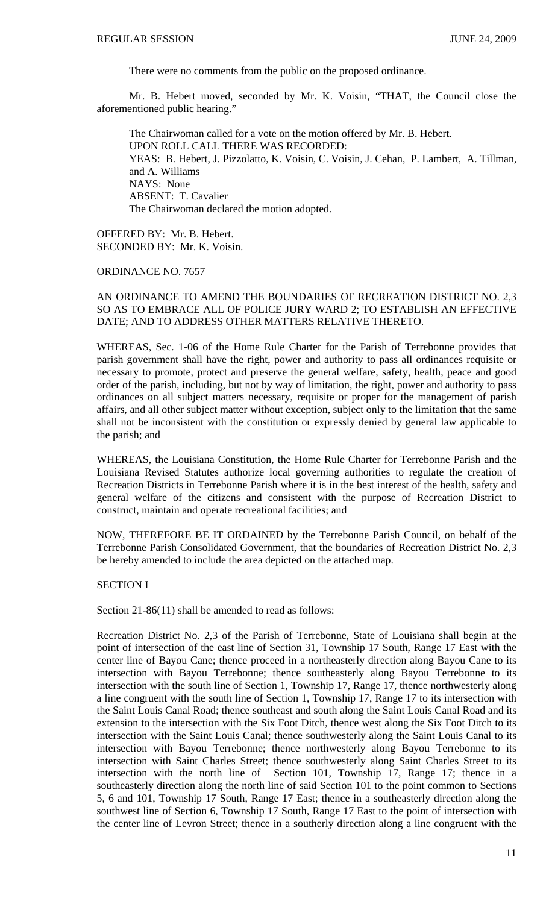There were no comments from the public on the proposed ordinance.

 Mr. B. Hebert moved, seconded by Mr. K. Voisin, "THAT, the Council close the aforementioned public hearing."

 The Chairwoman called for a vote on the motion offered by Mr. B. Hebert. UPON ROLL CALL THERE WAS RECORDED: YEAS: B. Hebert, J. Pizzolatto, K. Voisin, C. Voisin, J. Cehan, P. Lambert, A. Tillman, and A. Williams NAYS: None ABSENT: T. Cavalier The Chairwoman declared the motion adopted.

OFFERED BY: Mr. B. Hebert. SECONDED BY: Mr. K. Voisin.

ORDINANCE NO. 7657

# AN ORDINANCE TO AMEND THE BOUNDARIES OF RECREATION DISTRICT NO. 2,3 SO AS TO EMBRACE ALL OF POLICE JURY WARD 2; TO ESTABLISH AN EFFECTIVE DATE; AND TO ADDRESS OTHER MATTERS RELATIVE THERETO.

WHEREAS, Sec. 1-06 of the Home Rule Charter for the Parish of Terrebonne provides that parish government shall have the right, power and authority to pass all ordinances requisite or necessary to promote, protect and preserve the general welfare, safety, health, peace and good order of the parish, including, but not by way of limitation, the right, power and authority to pass ordinances on all subject matters necessary, requisite or proper for the management of parish affairs, and all other subject matter without exception, subject only to the limitation that the same shall not be inconsistent with the constitution or expressly denied by general law applicable to the parish; and

WHEREAS, the Louisiana Constitution, the Home Rule Charter for Terrebonne Parish and the Louisiana Revised Statutes authorize local governing authorities to regulate the creation of Recreation Districts in Terrebonne Parish where it is in the best interest of the health, safety and general welfare of the citizens and consistent with the purpose of Recreation District to construct, maintain and operate recreational facilities; and

NOW, THEREFORE BE IT ORDAINED by the Terrebonne Parish Council, on behalf of the Terrebonne Parish Consolidated Government, that the boundaries of Recreation District No. 2,3 be hereby amended to include the area depicted on the attached map.

SECTION I

Section 21-86(11) shall be amended to read as follows:

Recreation District No. 2,3 of the Parish of Terrebonne, State of Louisiana shall begin at the point of intersection of the east line of Section 31, Township 17 South, Range 17 East with the center line of Bayou Cane; thence proceed in a northeasterly direction along Bayou Cane to its intersection with Bayou Terrebonne; thence southeasterly along Bayou Terrebonne to its intersection with the south line of Section 1, Township 17, Range 17, thence northwesterly along a line congruent with the south line of Section 1, Township 17, Range 17 to its intersection with the Saint Louis Canal Road; thence southeast and south along the Saint Louis Canal Road and its extension to the intersection with the Six Foot Ditch, thence west along the Six Foot Ditch to its intersection with the Saint Louis Canal; thence southwesterly along the Saint Louis Canal to its intersection with Bayou Terrebonne; thence northwesterly along Bayou Terrebonne to its intersection with Saint Charles Street; thence southwesterly along Saint Charles Street to its intersection with the north line of Section 101, Township 17, Range 17; thence in a southeasterly direction along the north line of said Section 101 to the point common to Sections 5, 6 and 101, Township 17 South, Range 17 East; thence in a southeasterly direction along the southwest line of Section 6, Township 17 South, Range 17 East to the point of intersection with the center line of Levron Street; thence in a southerly direction along a line congruent with the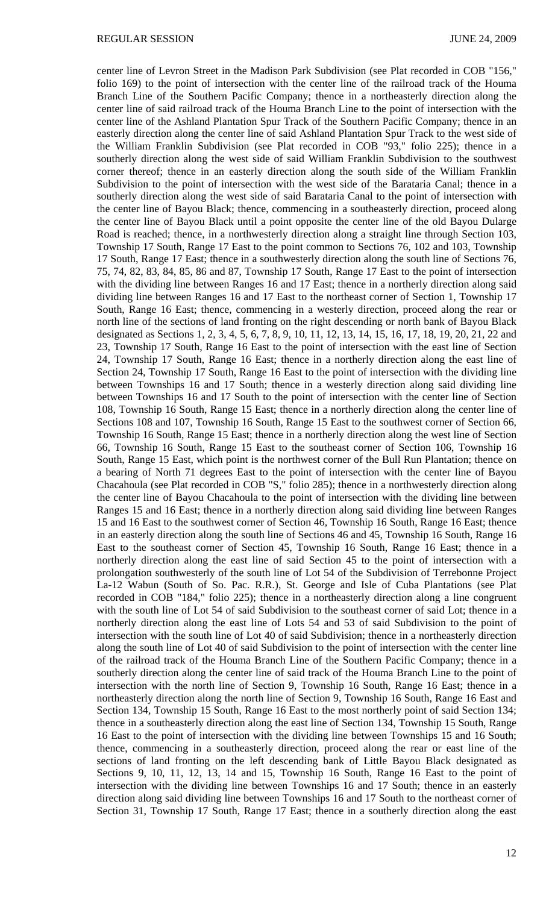center line of Levron Street in the Madison Park Subdivision (see Plat recorded in COB "156," folio 169) to the point of intersection with the center line of the railroad track of the Houma Branch Line of the Southern Pacific Company; thence in a northeasterly direction along the center line of said railroad track of the Houma Branch Line to the point of intersection with the center line of the Ashland Plantation Spur Track of the Southern Pacific Company; thence in an easterly direction along the center line of said Ashland Plantation Spur Track to the west side of the William Franklin Subdivision (see Plat recorded in COB "93," folio 225); thence in a southerly direction along the west side of said William Franklin Subdivision to the southwest corner thereof; thence in an easterly direction along the south side of the William Franklin Subdivision to the point of intersection with the west side of the Barataria Canal; thence in a southerly direction along the west side of said Barataria Canal to the point of intersection with the center line of Bayou Black; thence, commencing in a southeasterly direction, proceed along the center line of Bayou Black until a point opposite the center line of the old Bayou Dularge Road is reached; thence, in a northwesterly direction along a straight line through Section 103, Township 17 South, Range 17 East to the point common to Sections 76, 102 and 103, Township 17 South, Range 17 East; thence in a southwesterly direction along the south line of Sections 76, 75, 74, 82, 83, 84, 85, 86 and 87, Township 17 South, Range 17 East to the point of intersection with the dividing line between Ranges 16 and 17 East; thence in a northerly direction along said dividing line between Ranges 16 and 17 East to the northeast corner of Section 1, Township 17 South, Range 16 East; thence, commencing in a westerly direction, proceed along the rear or north line of the sections of land fronting on the right descending or north bank of Bayou Black designated as Sections 1, 2, 3, 4, 5, 6, 7, 8, 9, 10, 11, 12, 13, 14, 15, 16, 17, 18, 19, 20, 21, 22 and 23, Township 17 South, Range 16 East to the point of intersection with the east line of Section 24, Township 17 South, Range 16 East; thence in a northerly direction along the east line of Section 24, Township 17 South, Range 16 East to the point of intersection with the dividing line between Townships 16 and 17 South; thence in a westerly direction along said dividing line between Townships 16 and 17 South to the point of intersection with the center line of Section 108, Township 16 South, Range 15 East; thence in a northerly direction along the center line of Sections 108 and 107, Township 16 South, Range 15 East to the southwest corner of Section 66, Township 16 South, Range 15 East; thence in a northerly direction along the west line of Section 66, Township 16 South, Range 15 East to the southeast corner of Section 106, Township 16 South, Range 15 East, which point is the northwest corner of the Bull Run Plantation; thence on a bearing of North 71 degrees East to the point of intersection with the center line of Bayou Chacahoula (see Plat recorded in COB "S," folio 285); thence in a northwesterly direction along the center line of Bayou Chacahoula to the point of intersection with the dividing line between Ranges 15 and 16 East; thence in a northerly direction along said dividing line between Ranges 15 and 16 East to the southwest corner of Section 46, Township 16 South, Range 16 East; thence in an easterly direction along the south line of Sections 46 and 45, Township 16 South, Range 16 East to the southeast corner of Section 45, Township 16 South, Range 16 East; thence in a northerly direction along the east line of said Section 45 to the point of intersection with a prolongation southwesterly of the south line of Lot 54 of the Subdivision of Terrebonne Project La-12 Wabun (South of So. Pac. R.R.), St. George and Isle of Cuba Plantations (see Plat recorded in COB "184," folio 225); thence in a northeasterly direction along a line congruent with the south line of Lot 54 of said Subdivision to the southeast corner of said Lot; thence in a northerly direction along the east line of Lots 54 and 53 of said Subdivision to the point of intersection with the south line of Lot 40 of said Subdivision; thence in a northeasterly direction along the south line of Lot 40 of said Subdivision to the point of intersection with the center line of the railroad track of the Houma Branch Line of the Southern Pacific Company; thence in a southerly direction along the center line of said track of the Houma Branch Line to the point of intersection with the north line of Section 9, Township 16 South, Range 16 East; thence in a northeasterly direction along the north line of Section 9, Township 16 South, Range 16 East and Section 134, Township 15 South, Range 16 East to the most northerly point of said Section 134; thence in a southeasterly direction along the east line of Section 134, Township 15 South, Range 16 East to the point of intersection with the dividing line between Townships 15 and 16 South; thence, commencing in a southeasterly direction, proceed along the rear or east line of the sections of land fronting on the left descending bank of Little Bayou Black designated as Sections 9, 10, 11, 12, 13, 14 and 15, Township 16 South, Range 16 East to the point of intersection with the dividing line between Townships 16 and 17 South; thence in an easterly direction along said dividing line between Townships 16 and 17 South to the northeast corner of Section 31, Township 17 South, Range 17 East; thence in a southerly direction along the east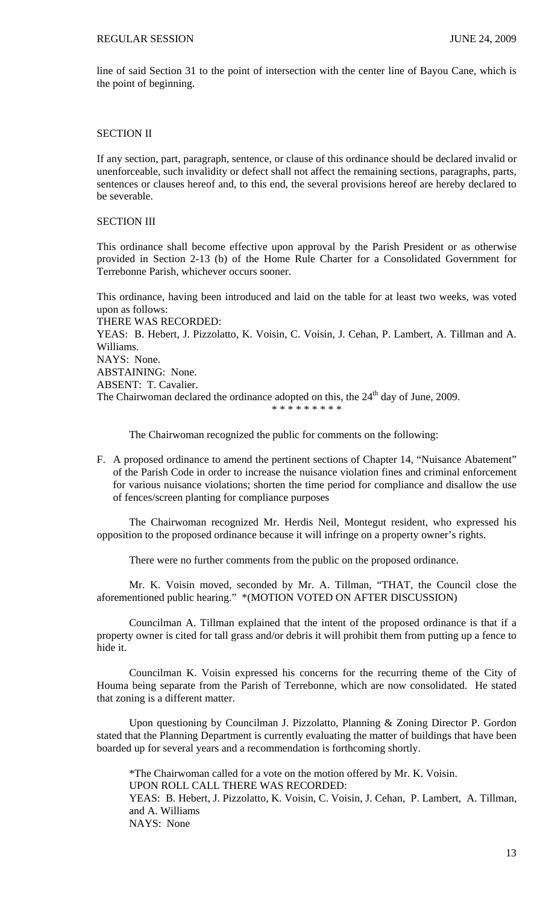line of said Section 31 to the point of intersection with the center line of Bayou Cane, which is the point of beginning.

# SECTION II

If any section, part, paragraph, sentence, or clause of this ordinance should be declared invalid or unenforceable, such invalidity or defect shall not affect the remaining sections, paragraphs, parts, sentences or clauses hereof and, to this end, the several provisions hereof are hereby declared to be severable.

# SECTION III

This ordinance shall become effective upon approval by the Parish President or as otherwise provided in Section 2-13 (b) of the Home Rule Charter for a Consolidated Government for Terrebonne Parish, whichever occurs sooner.

This ordinance, having been introduced and laid on the table for at least two weeks, was voted upon as follows: THERE WAS RECORDED: YEAS: B. Hebert, J. Pizzolatto, K. Voisin, C. Voisin, J. Cehan, P. Lambert, A. Tillman and A. Williams. NAYS: None. ABSTAINING: None. ABSENT: T. Cavalier. The Chairwoman declared the ordinance adopted on this, the  $24<sup>th</sup>$  day of June, 2009. \* \* \* \* \* \* \* \* \*

The Chairwoman recognized the public for comments on the following:

F. A proposed ordinance to amend the pertinent sections of Chapter 14, "Nuisance Abatement" of the Parish Code in order to increase the nuisance violation fines and criminal enforcement for various nuisance violations; shorten the time period for compliance and disallow the use of fences/screen planting for compliance purposes

 The Chairwoman recognized Mr. Herdis Neil, Montegut resident, who expressed his opposition to the proposed ordinance because it will infringe on a property owner's rights.

There were no further comments from the public on the proposed ordinance.

 Mr. K. Voisin moved, seconded by Mr. A. Tillman, "THAT, the Council close the aforementioned public hearing." \*(MOTION VOTED ON AFTER DISCUSSION)

Councilman A. Tillman explained that the intent of the proposed ordinance is that if a property owner is cited for tall grass and/or debris it will prohibit them from putting up a fence to hide it.

 Councilman K. Voisin expressed his concerns for the recurring theme of the City of Houma being separate from the Parish of Terrebonne, which are now consolidated. He stated that zoning is a different matter.

 Upon questioning by Councilman J. Pizzolatto, Planning & Zoning Director P. Gordon stated that the Planning Department is currently evaluating the matter of buildings that have been boarded up for several years and a recommendation is forthcoming shortly.

 \*The Chairwoman called for a vote on the motion offered by Mr. K. Voisin. UPON ROLL CALL THERE WAS RECORDED: YEAS: B. Hebert, J. Pizzolatto, K. Voisin, C. Voisin, J. Cehan, P. Lambert, A. Tillman, and A. Williams NAYS: None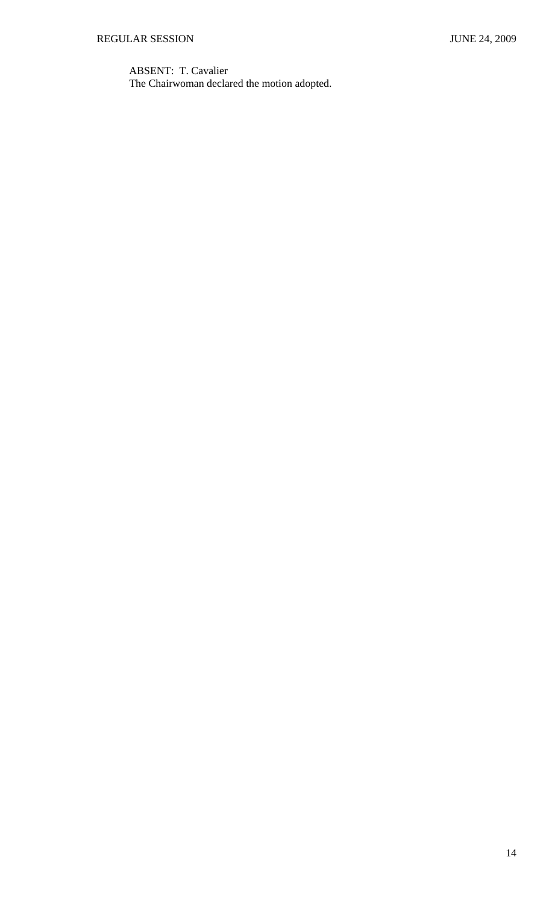ABSENT: T. Cavalier The Chairwoman declared the motion adopted.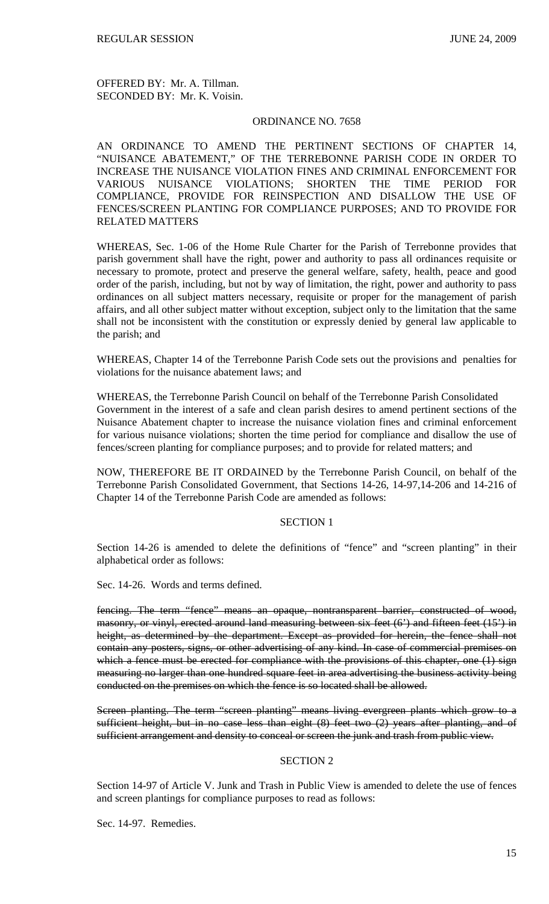OFFERED BY: Mr. A. Tillman. SECONDED BY: Mr. K. Voisin.

# ORDINANCE NO. 7658

AN ORDINANCE TO AMEND THE PERTINENT SECTIONS OF CHAPTER 14, "NUISANCE ABATEMENT," OF THE TERREBONNE PARISH CODE IN ORDER TO INCREASE THE NUISANCE VIOLATION FINES AND CRIMINAL ENFORCEMENT FOR VARIOUS NUISANCE VIOLATIONS; SHORTEN THE TIME PERIOD FOR COMPLIANCE, PROVIDE FOR REINSPECTION AND DISALLOW THE USE OF FENCES/SCREEN PLANTING FOR COMPLIANCE PURPOSES; AND TO PROVIDE FOR RELATED MATTERS

WHEREAS, Sec. 1-06 of the Home Rule Charter for the Parish of Terrebonne provides that parish government shall have the right, power and authority to pass all ordinances requisite or necessary to promote, protect and preserve the general welfare, safety, health, peace and good order of the parish, including, but not by way of limitation, the right, power and authority to pass ordinances on all subject matters necessary, requisite or proper for the management of parish affairs, and all other subject matter without exception, subject only to the limitation that the same shall not be inconsistent with the constitution or expressly denied by general law applicable to the parish; and

WHEREAS, Chapter 14 of the Terrebonne Parish Code sets out the provisions and penalties for violations for the nuisance abatement laws; and

WHEREAS, the Terrebonne Parish Council on behalf of the Terrebonne Parish Consolidated Government in the interest of a safe and clean parish desires to amend pertinent sections of the Nuisance Abatement chapter to increase the nuisance violation fines and criminal enforcement for various nuisance violations; shorten the time period for compliance and disallow the use of fences/screen planting for compliance purposes; and to provide for related matters; and

NOW, THEREFORE BE IT ORDAINED by the Terrebonne Parish Council, on behalf of the Terrebonne Parish Consolidated Government, that Sections 14-26, 14-97,14-206 and 14-216 of Chapter 14 of the Terrebonne Parish Code are amended as follows:

## SECTION 1

Section 14-26 is amended to delete the definitions of "fence" and "screen planting" in their alphabetical order as follows:

Sec. 14-26. Words and terms defined.

fencing. The term "fence" means an opaque, nontransparent barrier, constructed of wood, masonry, or vinyl, erected around land measuring between six feet (6') and fifteen feet (15') in height, as determined by the department. Except as provided for herein, the fence shall not contain any posters, signs, or other advertising of any kind. In case of commercial premises on which a fence must be erected for compliance with the provisions of this chapter, one (1) sign measuring no larger than one hundred square feet in area advertising the business activity being conducted on the premises on which the fence is so located shall be allowed.

Screen planting. The term "screen planting" means living evergreen plants which grow to a sufficient height, but in no case less than eight (8) feet two (2) years after planting, and of sufficient arrangement and density to conceal or screen the junk and trash from public view.

### SECTION 2

Section 14-97 of Article V. Junk and Trash in Public View is amended to delete the use of fences and screen plantings for compliance purposes to read as follows:

Sec. 14-97. Remedies.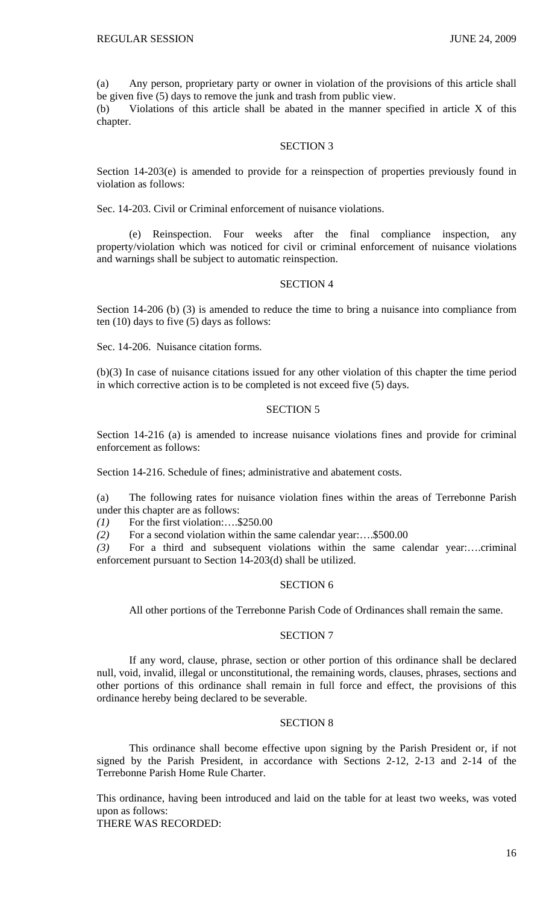(a) Any person, proprietary party or owner in violation of the provisions of this article shall be given five (5) days to remove the junk and trash from public view.

(b) Violations of this article shall be abated in the manner specified in article X of this chapter.

# SECTION 3

Section 14-203(e) is amended to provide for a reinspection of properties previously found in violation as follows:

Sec. 14-203. Civil or Criminal enforcement of nuisance violations.

 (e) Reinspection. Four weeks after the final compliance inspection, any property/violation which was noticed for civil or criminal enforcement of nuisance violations and warnings shall be subject to automatic reinspection.

### SECTION 4

Section 14-206 (b) (3) is amended to reduce the time to bring a nuisance into compliance from ten (10) days to five (5) days as follows:

Sec. 14-206. Nuisance citation forms.

(b)(3) In case of nuisance citations issued for any other violation of this chapter the time period in which corrective action is to be completed is not exceed five (5) days.

# SECTION 5

Section 14-216 (a) is amended to increase nuisance violations fines and provide for criminal enforcement as follows:

Section 14-216. Schedule of fines; administrative and abatement costs.

(a) The following rates for nuisance violation fines within the areas of Terrebonne Parish under this chapter are as follows:

*(1)* For the first violation:….\$250.00

*(2)* For a second violation within the same calendar year:….\$500.00

*(3)* For a third and subsequent violations within the same calendar year:….criminal enforcement pursuant to Section 14-203(d) shall be utilized.

## SECTION 6

All other portions of the Terrebonne Parish Code of Ordinances shall remain the same.

## SECTION 7

 If any word, clause, phrase, section or other portion of this ordinance shall be declared null, void, invalid, illegal or unconstitutional, the remaining words, clauses, phrases, sections and other portions of this ordinance shall remain in full force and effect, the provisions of this ordinance hereby being declared to be severable.

## SECTION 8

 This ordinance shall become effective upon signing by the Parish President or, if not signed by the Parish President, in accordance with Sections 2-12, 2-13 and 2-14 of the Terrebonne Parish Home Rule Charter.

This ordinance, having been introduced and laid on the table for at least two weeks, was voted upon as follows: THERE WAS RECORDED: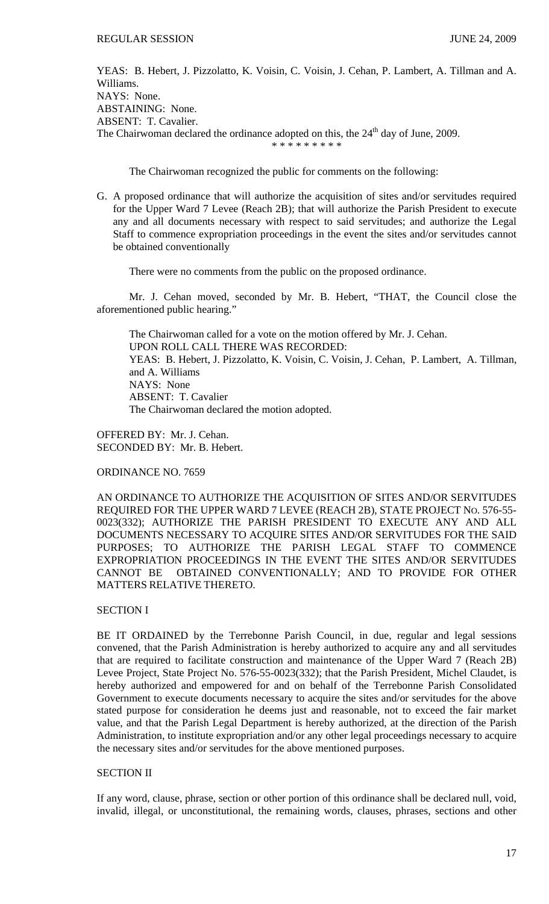YEAS: B. Hebert, J. Pizzolatto, K. Voisin, C. Voisin, J. Cehan, P. Lambert, A. Tillman and A. Williams. NAYS: None. ABSTAINING: None. ABSENT: T. Cavalier. The Chairwoman declared the ordinance adopted on this, the  $24<sup>th</sup>$  day of June, 2009. \* \* \* \* \* \* \* \* \*

The Chairwoman recognized the public for comments on the following:

G. A proposed ordinance that will authorize the acquisition of sites and/or servitudes required for the Upper Ward 7 Levee (Reach 2B); that will authorize the Parish President to execute any and all documents necessary with respect to said servitudes; and authorize the Legal Staff to commence expropriation proceedings in the event the sites and/or servitudes cannot be obtained conventionally

There were no comments from the public on the proposed ordinance.

 Mr. J. Cehan moved, seconded by Mr. B. Hebert, "THAT, the Council close the aforementioned public hearing."

 The Chairwoman called for a vote on the motion offered by Mr. J. Cehan. UPON ROLL CALL THERE WAS RECORDED: YEAS: B. Hebert, J. Pizzolatto, K. Voisin, C. Voisin, J. Cehan, P. Lambert, A. Tillman, and A. Williams NAYS: None ABSENT: T. Cavalier The Chairwoman declared the motion adopted.

OFFERED BY: Mr. J. Cehan. SECONDED BY: Mr. B. Hebert.

ORDINANCE NO. 7659

AN ORDINANCE TO AUTHORIZE THE ACQUISITION OF SITES AND/OR SERVITUDES REQUIRED FOR THE UPPER WARD 7 LEVEE (REACH 2B), STATE PROJECT NO. 576-55- 0023(332); AUTHORIZE THE PARISH PRESIDENT TO EXECUTE ANY AND ALL DOCUMENTS NECESSARY TO ACQUIRE SITES AND/OR SERVITUDES FOR THE SAID PURPOSES; TO AUTHORIZE THE PARISH LEGAL STAFF TO COMMENCE EXPROPRIATION PROCEEDINGS IN THE EVENT THE SITES AND/OR SERVITUDES CANNOT BE OBTAINED CONVENTIONALLY; AND TO PROVIDE FOR OTHER MATTERS RELATIVE THERETO.

# SECTION I

BE IT ORDAINED by the Terrebonne Parish Council, in due, regular and legal sessions convened, that the Parish Administration is hereby authorized to acquire any and all servitudes that are required to facilitate construction and maintenance of the Upper Ward 7 (Reach 2B) Levee Project, State Project No. 576-55-0023(332); that the Parish President, Michel Claudet, is hereby authorized and empowered for and on behalf of the Terrebonne Parish Consolidated Government to execute documents necessary to acquire the sites and/or servitudes for the above stated purpose for consideration he deems just and reasonable, not to exceed the fair market value, and that the Parish Legal Department is hereby authorized, at the direction of the Parish Administration, to institute expropriation and/or any other legal proceedings necessary to acquire the necessary sites and/or servitudes for the above mentioned purposes.

# SECTION II

If any word, clause, phrase, section or other portion of this ordinance shall be declared null, void, invalid, illegal, or unconstitutional, the remaining words, clauses, phrases, sections and other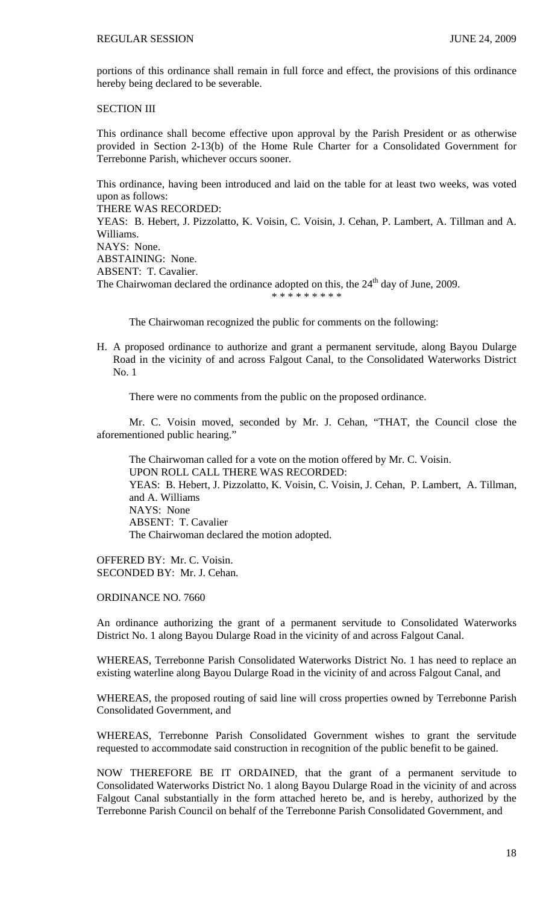portions of this ordinance shall remain in full force and effect, the provisions of this ordinance hereby being declared to be severable.

SECTION III

This ordinance shall become effective upon approval by the Parish President or as otherwise provided in Section 2-13(b) of the Home Rule Charter for a Consolidated Government for Terrebonne Parish, whichever occurs sooner.

This ordinance, having been introduced and laid on the table for at least two weeks, was voted upon as follows:

THERE WAS RECORDED:

YEAS: B. Hebert, J. Pizzolatto, K. Voisin, C. Voisin, J. Cehan, P. Lambert, A. Tillman and A. Williams.

```
NAYS: None.
```
ABSTAINING: None.

ABSENT: T. Cavalier.

The Chairwoman declared the ordinance adopted on this, the  $24<sup>th</sup>$  day of June, 2009.

\* \* \* \* \* \* \* \* \*

The Chairwoman recognized the public for comments on the following:

H. A proposed ordinance to authorize and grant a permanent servitude, along Bayou Dularge Road in the vicinity of and across Falgout Canal, to the Consolidated Waterworks District No. 1

There were no comments from the public on the proposed ordinance.

 Mr. C. Voisin moved, seconded by Mr. J. Cehan, "THAT, the Council close the aforementioned public hearing."

 The Chairwoman called for a vote on the motion offered by Mr. C. Voisin. UPON ROLL CALL THERE WAS RECORDED: YEAS: B. Hebert, J. Pizzolatto, K. Voisin, C. Voisin, J. Cehan, P. Lambert, A. Tillman, and A. Williams NAYS: None ABSENT: T. Cavalier The Chairwoman declared the motion adopted.

OFFERED BY: Mr. C. Voisin. SECONDED BY: Mr. J. Cehan.

ORDINANCE NO. 7660

An ordinance authorizing the grant of a permanent servitude to Consolidated Waterworks District No. 1 along Bayou Dularge Road in the vicinity of and across Falgout Canal.

WHEREAS, Terrebonne Parish Consolidated Waterworks District No. 1 has need to replace an existing waterline along Bayou Dularge Road in the vicinity of and across Falgout Canal, and

WHEREAS, the proposed routing of said line will cross properties owned by Terrebonne Parish Consolidated Government, and

WHEREAS, Terrebonne Parish Consolidated Government wishes to grant the servitude requested to accommodate said construction in recognition of the public benefit to be gained.

NOW THEREFORE BE IT ORDAINED, that the grant of a permanent servitude to Consolidated Waterworks District No. 1 along Bayou Dularge Road in the vicinity of and across Falgout Canal substantially in the form attached hereto be, and is hereby, authorized by the Terrebonne Parish Council on behalf of the Terrebonne Parish Consolidated Government, and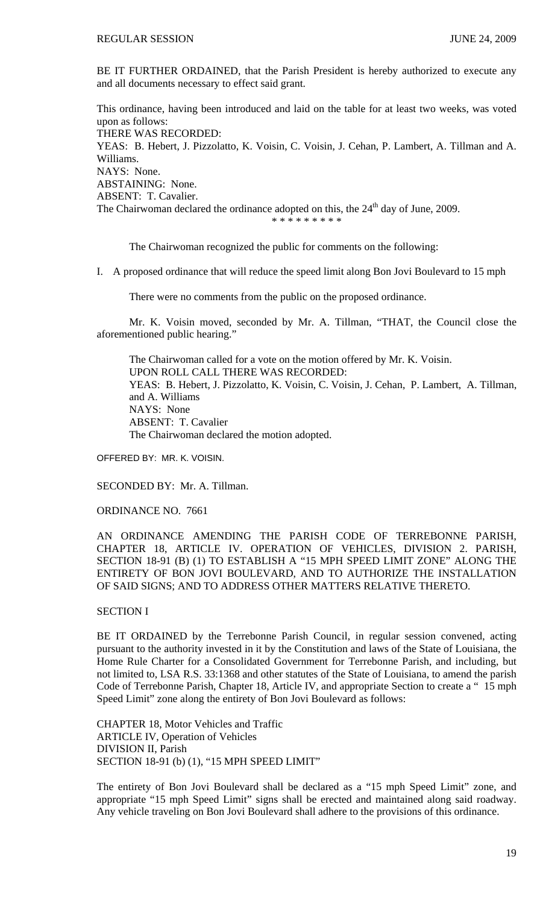BE IT FURTHER ORDAINED, that the Parish President is hereby authorized to execute any and all documents necessary to effect said grant.

This ordinance, having been introduced and laid on the table for at least two weeks, was voted upon as follows: THERE WAS RECORDED: YEAS: B. Hebert, J. Pizzolatto, K. Voisin, C. Voisin, J. Cehan, P. Lambert, A. Tillman and A. Williams. NAYS: None. ABSTAINING: None. ABSENT: T. Cavalier. The Chairwoman declared the ordinance adopted on this, the  $24<sup>th</sup>$  day of June, 2009. \* \* \* \* \* \* \* \*

The Chairwoman recognized the public for comments on the following:

I. A proposed ordinance that will reduce the speed limit along Bon Jovi Boulevard to 15 mph

There were no comments from the public on the proposed ordinance.

 Mr. K. Voisin moved, seconded by Mr. A. Tillman, "THAT, the Council close the aforementioned public hearing."

 The Chairwoman called for a vote on the motion offered by Mr. K. Voisin. UPON ROLL CALL THERE WAS RECORDED: YEAS: B. Hebert, J. Pizzolatto, K. Voisin, C. Voisin, J. Cehan, P. Lambert, A. Tillman, and A. Williams NAYS: None ABSENT: T. Cavalier The Chairwoman declared the motion adopted.

OFFERED BY: MR. K. VOISIN.

SECONDED BY: Mr. A. Tillman.

ORDINANCE NO. 7661

AN ORDINANCE AMENDING THE PARISH CODE OF TERREBONNE PARISH, CHAPTER 18, ARTICLE IV. OPERATION OF VEHICLES, DIVISION 2. PARISH, SECTION 18-91 (B) (1) TO ESTABLISH A "15 MPH SPEED LIMIT ZONE" ALONG THE ENTIRETY OF BON JOVI BOULEVARD, AND TO AUTHORIZE THE INSTALLATION OF SAID SIGNS; AND TO ADDRESS OTHER MATTERS RELATIVE THERETO.

# SECTION I

BE IT ORDAINED by the Terrebonne Parish Council, in regular session convened, acting pursuant to the authority invested in it by the Constitution and laws of the State of Louisiana, the Home Rule Charter for a Consolidated Government for Terrebonne Parish, and including, but not limited to, LSA R.S. 33:1368 and other statutes of the State of Louisiana, to amend the parish Code of Terrebonne Parish, Chapter 18, Article IV, and appropriate Section to create a " 15 mph Speed Limit" zone along the entirety of Bon Jovi Boulevard as follows:

CHAPTER 18, Motor Vehicles and Traffic ARTICLE IV, Operation of Vehicles DIVISION II, Parish SECTION 18-91 (b) (1), "15 MPH SPEED LIMIT"

The entirety of Bon Jovi Boulevard shall be declared as a "15 mph Speed Limit" zone, and appropriate "15 mph Speed Limit" signs shall be erected and maintained along said roadway. Any vehicle traveling on Bon Jovi Boulevard shall adhere to the provisions of this ordinance.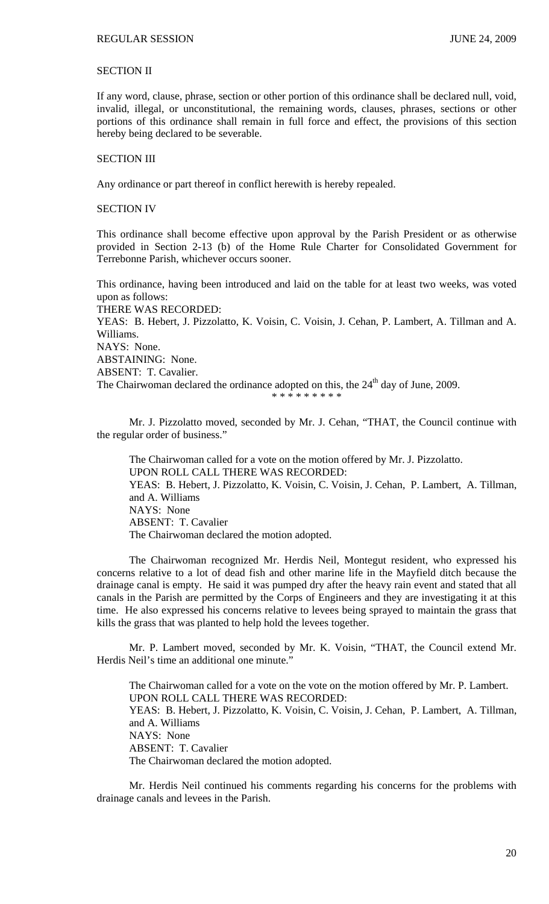# SECTION II

If any word, clause, phrase, section or other portion of this ordinance shall be declared null, void, invalid, illegal, or unconstitutional, the remaining words, clauses, phrases, sections or other portions of this ordinance shall remain in full force and effect, the provisions of this section hereby being declared to be severable.

### SECTION III

Any ordinance or part thereof in conflict herewith is hereby repealed.

## SECTION IV

This ordinance shall become effective upon approval by the Parish President or as otherwise provided in Section 2-13 (b) of the Home Rule Charter for Consolidated Government for Terrebonne Parish, whichever occurs sooner.

This ordinance, having been introduced and laid on the table for at least two weeks, was voted upon as follows: THERE WAS RECORDED: YEAS: B. Hebert, J. Pizzolatto, K. Voisin, C. Voisin, J. Cehan, P. Lambert, A. Tillman and A. Williams. NAYS: None. ABSTAINING: None. ABSENT: T. Cavalier. The Chairwoman declared the ordinance adopted on this, the  $24<sup>th</sup>$  day of June, 2009. \* \* \* \* \* \* \* \* \*

Mr. J. Pizzolatto moved, seconded by Mr. J. Cehan, "THAT, the Council continue with the regular order of business."

 The Chairwoman called for a vote on the motion offered by Mr. J. Pizzolatto. UPON ROLL CALL THERE WAS RECORDED: YEAS: B. Hebert, J. Pizzolatto, K. Voisin, C. Voisin, J. Cehan, P. Lambert, A. Tillman, and A. Williams NAYS: None ABSENT: T. Cavalier The Chairwoman declared the motion adopted.

 The Chairwoman recognized Mr. Herdis Neil, Montegut resident, who expressed his concerns relative to a lot of dead fish and other marine life in the Mayfield ditch because the drainage canal is empty. He said it was pumped dry after the heavy rain event and stated that all canals in the Parish are permitted by the Corps of Engineers and they are investigating it at this time. He also expressed his concerns relative to levees being sprayed to maintain the grass that kills the grass that was planted to help hold the levees together.

 Mr. P. Lambert moved, seconded by Mr. K. Voisin, "THAT, the Council extend Mr. Herdis Neil's time an additional one minute."

 The Chairwoman called for a vote on the vote on the motion offered by Mr. P. Lambert. UPON ROLL CALL THERE WAS RECORDED: YEAS: B. Hebert, J. Pizzolatto, K. Voisin, C. Voisin, J. Cehan, P. Lambert, A. Tillman, and A. Williams NAYS: None ABSENT: T. Cavalier The Chairwoman declared the motion adopted.

Mr. Herdis Neil continued his comments regarding his concerns for the problems with drainage canals and levees in the Parish.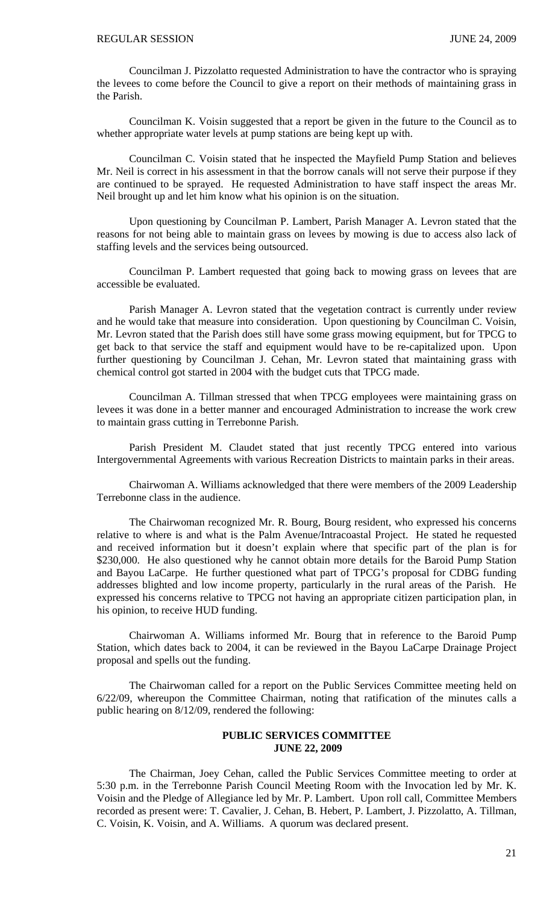Councilman J. Pizzolatto requested Administration to have the contractor who is spraying the levees to come before the Council to give a report on their methods of maintaining grass in the Parish.

Councilman K. Voisin suggested that a report be given in the future to the Council as to whether appropriate water levels at pump stations are being kept up with.

Councilman C. Voisin stated that he inspected the Mayfield Pump Station and believes Mr. Neil is correct in his assessment in that the borrow canals will not serve their purpose if they are continued to be sprayed. He requested Administration to have staff inspect the areas Mr. Neil brought up and let him know what his opinion is on the situation.

Upon questioning by Councilman P. Lambert, Parish Manager A. Levron stated that the reasons for not being able to maintain grass on levees by mowing is due to access also lack of staffing levels and the services being outsourced.

Councilman P. Lambert requested that going back to mowing grass on levees that are accessible be evaluated.

Parish Manager A. Levron stated that the vegetation contract is currently under review and he would take that measure into consideration. Upon questioning by Councilman C. Voisin, Mr. Levron stated that the Parish does still have some grass mowing equipment, but for TPCG to get back to that service the staff and equipment would have to be re-capitalized upon. Upon further questioning by Councilman J. Cehan, Mr. Levron stated that maintaining grass with chemical control got started in 2004 with the budget cuts that TPCG made.

Councilman A. Tillman stressed that when TPCG employees were maintaining grass on levees it was done in a better manner and encouraged Administration to increase the work crew to maintain grass cutting in Terrebonne Parish.

Parish President M. Claudet stated that just recently TPCG entered into various Intergovernmental Agreements with various Recreation Districts to maintain parks in their areas.

Chairwoman A. Williams acknowledged that there were members of the 2009 Leadership Terrebonne class in the audience.

The Chairwoman recognized Mr. R. Bourg, Bourg resident, who expressed his concerns relative to where is and what is the Palm Avenue/Intracoastal Project. He stated he requested and received information but it doesn't explain where that specific part of the plan is for \$230,000. He also questioned why he cannot obtain more details for the Baroid Pump Station and Bayou LaCarpe. He further questioned what part of TPCG's proposal for CDBG funding addresses blighted and low income property, particularly in the rural areas of the Parish. He expressed his concerns relative to TPCG not having an appropriate citizen participation plan, in his opinion, to receive HUD funding.

Chairwoman A. Williams informed Mr. Bourg that in reference to the Baroid Pump Station, which dates back to 2004, it can be reviewed in the Bayou LaCarpe Drainage Project proposal and spells out the funding.

 The Chairwoman called for a report on the Public Services Committee meeting held on 6/22/09, whereupon the Committee Chairman, noting that ratification of the minutes calls a public hearing on 8/12/09, rendered the following:

# **PUBLIC SERVICES COMMITTEE JUNE 22, 2009**

 The Chairman, Joey Cehan, called the Public Services Committee meeting to order at 5:30 p.m. in the Terrebonne Parish Council Meeting Room with the Invocation led by Mr. K. Voisin and the Pledge of Allegiance led by Mr. P. Lambert. Upon roll call, Committee Members recorded as present were: T. Cavalier, J. Cehan, B. Hebert, P. Lambert, J. Pizzolatto, A. Tillman, C. Voisin, K. Voisin, and A. Williams. A quorum was declared present.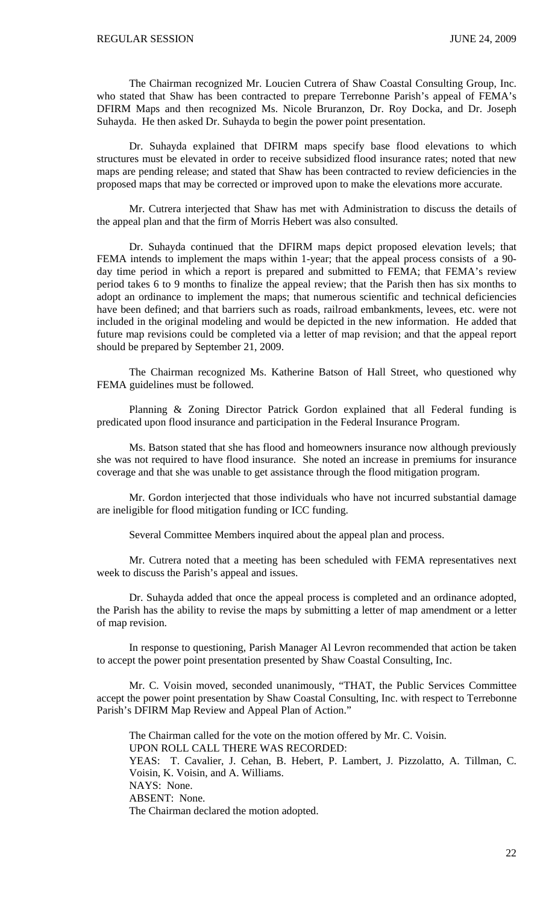The Chairman recognized Mr. Loucien Cutrera of Shaw Coastal Consulting Group, Inc. who stated that Shaw has been contracted to prepare Terrebonne Parish's appeal of FEMA's DFIRM Maps and then recognized Ms. Nicole Bruranzon, Dr. Roy Docka, and Dr. Joseph Suhayda. He then asked Dr. Suhayda to begin the power point presentation.

 Dr. Suhayda explained that DFIRM maps specify base flood elevations to which structures must be elevated in order to receive subsidized flood insurance rates; noted that new maps are pending release; and stated that Shaw has been contracted to review deficiencies in the proposed maps that may be corrected or improved upon to make the elevations more accurate.

 Mr. Cutrera interjected that Shaw has met with Administration to discuss the details of the appeal plan and that the firm of Morris Hebert was also consulted.

 Dr. Suhayda continued that the DFIRM maps depict proposed elevation levels; that FEMA intends to implement the maps within 1-year; that the appeal process consists of a 90 day time period in which a report is prepared and submitted to FEMA; that FEMA's review period takes 6 to 9 months to finalize the appeal review; that the Parish then has six months to adopt an ordinance to implement the maps; that numerous scientific and technical deficiencies have been defined; and that barriers such as roads, railroad embankments, levees, etc. were not included in the original modeling and would be depicted in the new information. He added that future map revisions could be completed via a letter of map revision; and that the appeal report should be prepared by September 21, 2009.

 The Chairman recognized Ms. Katherine Batson of Hall Street, who questioned why FEMA guidelines must be followed.

 Planning & Zoning Director Patrick Gordon explained that all Federal funding is predicated upon flood insurance and participation in the Federal Insurance Program.

 Ms. Batson stated that she has flood and homeowners insurance now although previously she was not required to have flood insurance. She noted an increase in premiums for insurance coverage and that she was unable to get assistance through the flood mitigation program.

 Mr. Gordon interjected that those individuals who have not incurred substantial damage are ineligible for flood mitigation funding or ICC funding.

Several Committee Members inquired about the appeal plan and process.

 Mr. Cutrera noted that a meeting has been scheduled with FEMA representatives next week to discuss the Parish's appeal and issues.

 Dr. Suhayda added that once the appeal process is completed and an ordinance adopted, the Parish has the ability to revise the maps by submitting a letter of map amendment or a letter of map revision.

 In response to questioning, Parish Manager Al Levron recommended that action be taken to accept the power point presentation presented by Shaw Coastal Consulting, Inc.

 Mr. C. Voisin moved, seconded unanimously, "THAT, the Public Services Committee accept the power point presentation by Shaw Coastal Consulting, Inc. with respect to Terrebonne Parish's DFIRM Map Review and Appeal Plan of Action."

 The Chairman called for the vote on the motion offered by Mr. C. Voisin. UPON ROLL CALL THERE WAS RECORDED: YEAS: T. Cavalier, J. Cehan, B. Hebert, P. Lambert, J. Pizzolatto, A. Tillman, C. Voisin, K. Voisin, and A. Williams. NAYS: None. ABSENT: None. The Chairman declared the motion adopted.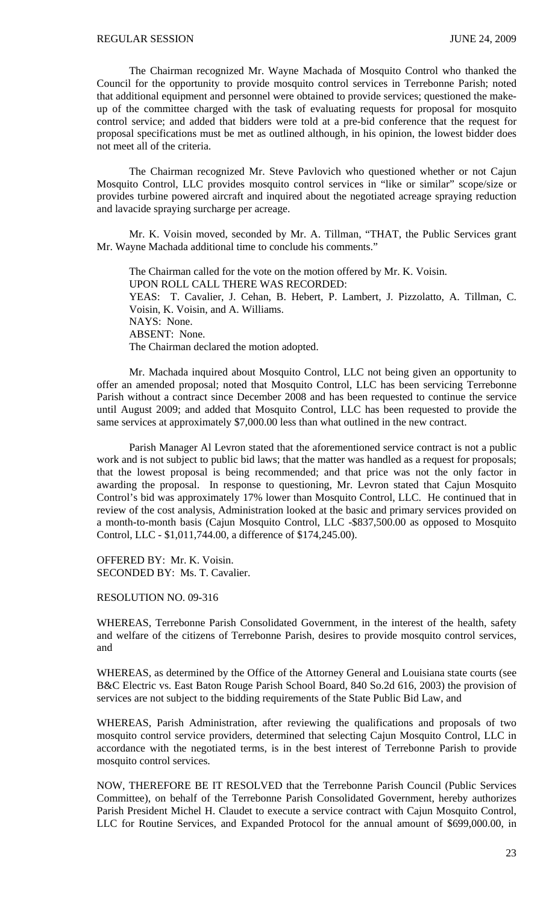The Chairman recognized Mr. Wayne Machada of Mosquito Control who thanked the Council for the opportunity to provide mosquito control services in Terrebonne Parish; noted that additional equipment and personnel were obtained to provide services; questioned the makeup of the committee charged with the task of evaluating requests for proposal for mosquito control service; and added that bidders were told at a pre-bid conference that the request for proposal specifications must be met as outlined although, in his opinion, the lowest bidder does not meet all of the criteria.

 The Chairman recognized Mr. Steve Pavlovich who questioned whether or not Cajun Mosquito Control, LLC provides mosquito control services in "like or similar" scope/size or provides turbine powered aircraft and inquired about the negotiated acreage spraying reduction and lavacide spraying surcharge per acreage.

 Mr. K. Voisin moved, seconded by Mr. A. Tillman, "THAT, the Public Services grant Mr. Wayne Machada additional time to conclude his comments."

The Chairman called for the vote on the motion offered by Mr. K. Voisin. UPON ROLL CALL THERE WAS RECORDED: YEAS: T. Cavalier, J. Cehan, B. Hebert, P. Lambert, J. Pizzolatto, A. Tillman, C. Voisin, K. Voisin, and A. Williams. NAYS: None. ABSENT: None. The Chairman declared the motion adopted.

 Mr. Machada inquired about Mosquito Control, LLC not being given an opportunity to offer an amended proposal; noted that Mosquito Control, LLC has been servicing Terrebonne Parish without a contract since December 2008 and has been requested to continue the service until August 2009; and added that Mosquito Control, LLC has been requested to provide the same services at approximately \$7,000.00 less than what outlined in the new contract.

 Parish Manager Al Levron stated that the aforementioned service contract is not a public work and is not subject to public bid laws; that the matter was handled as a request for proposals; that the lowest proposal is being recommended; and that price was not the only factor in awarding the proposal. In response to questioning, Mr. Levron stated that Cajun Mosquito Control's bid was approximately 17% lower than Mosquito Control, LLC. He continued that in review of the cost analysis, Administration looked at the basic and primary services provided on a month-to-month basis (Cajun Mosquito Control, LLC -\$837,500.00 as opposed to Mosquito Control, LLC - \$1,011,744.00, a difference of \$174,245.00).

OFFERED BY: Mr. K. Voisin. SECONDED BY: Ms. T. Cavalier.

RESOLUTION NO. 09-316

WHEREAS, Terrebonne Parish Consolidated Government, in the interest of the health, safety and welfare of the citizens of Terrebonne Parish, desires to provide mosquito control services, and

WHEREAS, as determined by the Office of the Attorney General and Louisiana state courts (see B&C Electric vs. East Baton Rouge Parish School Board, 840 So.2d 616, 2003) the provision of services are not subject to the bidding requirements of the State Public Bid Law, and

WHEREAS, Parish Administration, after reviewing the qualifications and proposals of two mosquito control service providers, determined that selecting Cajun Mosquito Control, LLC in accordance with the negotiated terms, is in the best interest of Terrebonne Parish to provide mosquito control services.

NOW, THEREFORE BE IT RESOLVED that the Terrebonne Parish Council (Public Services Committee), on behalf of the Terrebonne Parish Consolidated Government, hereby authorizes Parish President Michel H. Claudet to execute a service contract with Cajun Mosquito Control, LLC for Routine Services, and Expanded Protocol for the annual amount of \$699,000.00, in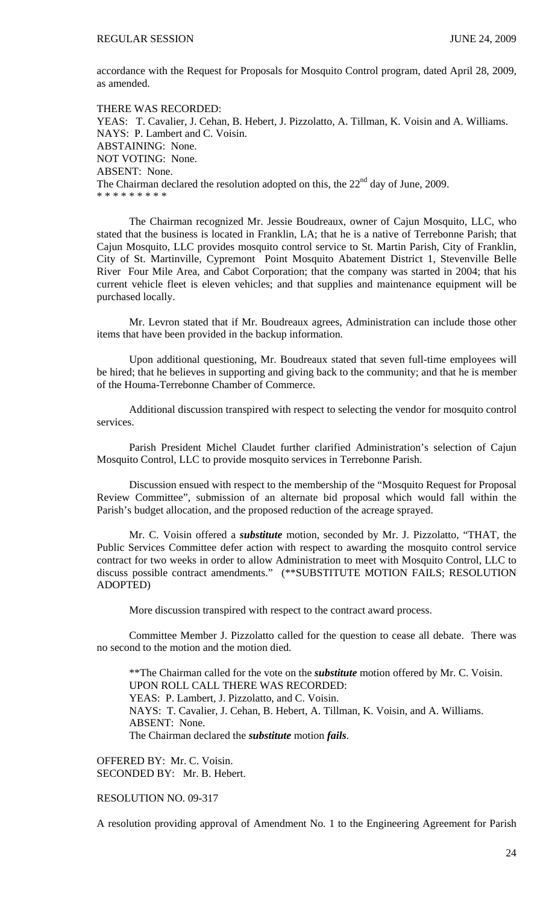accordance with the Request for Proposals for Mosquito Control program, dated April 28, 2009, as amended.

THERE WAS RECORDED: YEAS: T. Cavalier, J. Cehan, B. Hebert, J. Pizzolatto, A. Tillman, K. Voisin and A. Williams. NAYS: P. Lambert and C. Voisin. ABSTAINING: None. NOT VOTING: None. ABSENT: None. The Chairman declared the resolution adopted on this, the  $22<sup>nd</sup>$  day of June, 2009. \* \* \* \* \* \* \* \* \*

 The Chairman recognized Mr. Jessie Boudreaux, owner of Cajun Mosquito, LLC, who stated that the business is located in Franklin, LA; that he is a native of Terrebonne Parish; that Cajun Mosquito, LLC provides mosquito control service to St. Martin Parish, City of Franklin, City of St. Martinville, Cypremont Point Mosquito Abatement District 1, Stevenville Belle River Four Mile Area, and Cabot Corporation; that the company was started in 2004; that his current vehicle fleet is eleven vehicles; and that supplies and maintenance equipment will be purchased locally.

 Mr. Levron stated that if Mr. Boudreaux agrees, Administration can include those other items that have been provided in the backup information.

 Upon additional questioning, Mr. Boudreaux stated that seven full-time employees will be hired; that he believes in supporting and giving back to the community; and that he is member of the Houma-Terrebonne Chamber of Commerce.

 Additional discussion transpired with respect to selecting the vendor for mosquito control services.

 Parish President Michel Claudet further clarified Administration's selection of Cajun Mosquito Control, LLC to provide mosquito services in Terrebonne Parish.

 Discussion ensued with respect to the membership of the "Mosquito Request for Proposal Review Committee", submission of an alternate bid proposal which would fall within the Parish's budget allocation, and the proposed reduction of the acreage sprayed.

 Mr. C. Voisin offered a *substitute* motion, seconded by Mr. J. Pizzolatto, "THAT, the Public Services Committee defer action with respect to awarding the mosquito control service contract for two weeks in order to allow Administration to meet with Mosquito Control, LLC to discuss possible contract amendments." (\*\*SUBSTITUTE MOTION FAILS; RESOLUTION ADOPTED)

More discussion transpired with respect to the contract award process.

 Committee Member J. Pizzolatto called for the question to cease all debate. There was no second to the motion and the motion died.

\*\*The Chairman called for the vote on the *substitute* motion offered by Mr. C. Voisin. UPON ROLL CALL THERE WAS RECORDED: YEAS: P. Lambert, J. Pizzolatto, and C. Voisin. NAYS: T. Cavalier, J. Cehan, B. Hebert, A. Tillman, K. Voisin, and A. Williams. ABSENT: None. The Chairman declared the *substitute* motion *fails*.

OFFERED BY: Mr. C. Voisin. SECONDED BY: Mr. B. Hebert.

RESOLUTION NO. 09-317

A resolution providing approval of Amendment No. 1 to the Engineering Agreement for Parish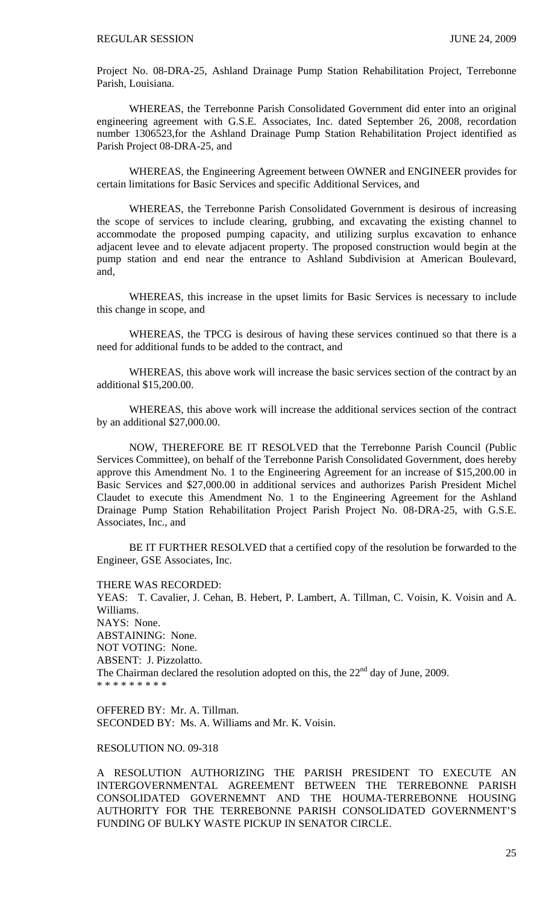Project No. 08-DRA-25, Ashland Drainage Pump Station Rehabilitation Project, Terrebonne Parish, Louisiana.

 WHEREAS, the Terrebonne Parish Consolidated Government did enter into an original engineering agreement with G.S.E. Associates, Inc. dated September 26, 2008, recordation number 1306523,for the Ashland Drainage Pump Station Rehabilitation Project identified as Parish Project 08-DRA-25, and

 WHEREAS, the Engineering Agreement between OWNER and ENGINEER provides for certain limitations for Basic Services and specific Additional Services, and

 WHEREAS, the Terrebonne Parish Consolidated Government is desirous of increasing the scope of services to include clearing, grubbing, and excavating the existing channel to accommodate the proposed pumping capacity, and utilizing surplus excavation to enhance adjacent levee and to elevate adjacent property. The proposed construction would begin at the pump station and end near the entrance to Ashland Subdivision at American Boulevard, and,

 WHEREAS, this increase in the upset limits for Basic Services is necessary to include this change in scope, and

 WHEREAS, the TPCG is desirous of having these services continued so that there is a need for additional funds to be added to the contract, and

 WHEREAS, this above work will increase the basic services section of the contract by an additional \$15,200.00.

 WHEREAS, this above work will increase the additional services section of the contract by an additional \$27,000.00.

 NOW, THEREFORE BE IT RESOLVED that the Terrebonne Parish Council (Public Services Committee), on behalf of the Terrebonne Parish Consolidated Government, does hereby approve this Amendment No. 1 to the Engineering Agreement for an increase of \$15,200.00 in Basic Services and \$27,000.00 in additional services and authorizes Parish President Michel Claudet to execute this Amendment No. 1 to the Engineering Agreement for the Ashland Drainage Pump Station Rehabilitation Project Parish Project No. 08-DRA-25, with G.S.E. Associates, Inc., and

 BE IT FURTHER RESOLVED that a certified copy of the resolution be forwarded to the Engineer, GSE Associates, Inc.

THERE WAS RECORDED:

YEAS: T. Cavalier, J. Cehan, B. Hebert, P. Lambert, A. Tillman, C. Voisin, K. Voisin and A. Williams. NAYS: None. ABSTAINING: None. NOT VOTING: None. ABSENT: J. Pizzolatto. The Chairman declared the resolution adopted on this, the  $22<sup>nd</sup>$  day of June, 2009. \* \* \* \* \* \* \* \* \*

OFFERED BY: Mr. A. Tillman. SECONDED BY: Ms. A. Williams and Mr. K. Voisin.

## RESOLUTION NO. 09-318

A RESOLUTION AUTHORIZING THE PARISH PRESIDENT TO EXECUTE AN INTERGOVERNMENTAL AGREEMENT BETWEEN THE TERREBONNE PARISH CONSOLIDATED GOVERNEMNT AND THE HOUMA-TERREBONNE HOUSING AUTHORITY FOR THE TERREBONNE PARISH CONSOLIDATED GOVERNMENT'S FUNDING OF BULKY WASTE PICKUP IN SENATOR CIRCLE.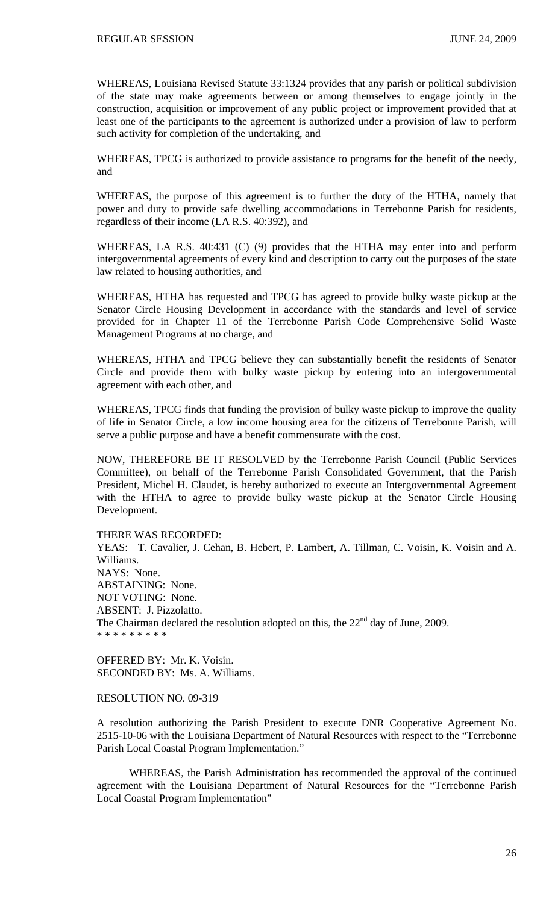WHEREAS, Louisiana Revised Statute 33:1324 provides that any parish or political subdivision of the state may make agreements between or among themselves to engage jointly in the construction, acquisition or improvement of any public project or improvement provided that at least one of the participants to the agreement is authorized under a provision of law to perform such activity for completion of the undertaking, and

WHEREAS, TPCG is authorized to provide assistance to programs for the benefit of the needy, and

WHEREAS, the purpose of this agreement is to further the duty of the HTHA, namely that power and duty to provide safe dwelling accommodations in Terrebonne Parish for residents, regardless of their income (LA R.S. 40:392), and

WHEREAS, LA R.S. 40:431 (C) (9) provides that the HTHA may enter into and perform intergovernmental agreements of every kind and description to carry out the purposes of the state law related to housing authorities, and

WHEREAS, HTHA has requested and TPCG has agreed to provide bulky waste pickup at the Senator Circle Housing Development in accordance with the standards and level of service provided for in Chapter 11 of the Terrebonne Parish Code Comprehensive Solid Waste Management Programs at no charge, and

WHEREAS, HTHA and TPCG believe they can substantially benefit the residents of Senator Circle and provide them with bulky waste pickup by entering into an intergovernmental agreement with each other, and

WHEREAS, TPCG finds that funding the provision of bulky waste pickup to improve the quality of life in Senator Circle, a low income housing area for the citizens of Terrebonne Parish, will serve a public purpose and have a benefit commensurate with the cost.

NOW, THEREFORE BE IT RESOLVED by the Terrebonne Parish Council (Public Services Committee), on behalf of the Terrebonne Parish Consolidated Government, that the Parish President, Michel H. Claudet, is hereby authorized to execute an Intergovernmental Agreement with the HTHA to agree to provide bulky waste pickup at the Senator Circle Housing Development.

THERE WAS RECORDED:

YEAS: T. Cavalier, J. Cehan, B. Hebert, P. Lambert, A. Tillman, C. Voisin, K. Voisin and A. Williams. NAYS: None. ABSTAINING: None. NOT VOTING: None. ABSENT: J. Pizzolatto. The Chairman declared the resolution adopted on this, the  $22<sup>nd</sup>$  day of June, 2009. \* \* \* \* \* \* \* \* \*

OFFERED BY: Mr. K. Voisin. SECONDED BY: Ms. A. Williams.

# RESOLUTION NO. 09-319

A resolution authorizing the Parish President to execute DNR Cooperative Agreement No. 2515-10-06 with the Louisiana Department of Natural Resources with respect to the "Terrebonne Parish Local Coastal Program Implementation."

 WHEREAS, the Parish Administration has recommended the approval of the continued agreement with the Louisiana Department of Natural Resources for the "Terrebonne Parish Local Coastal Program Implementation"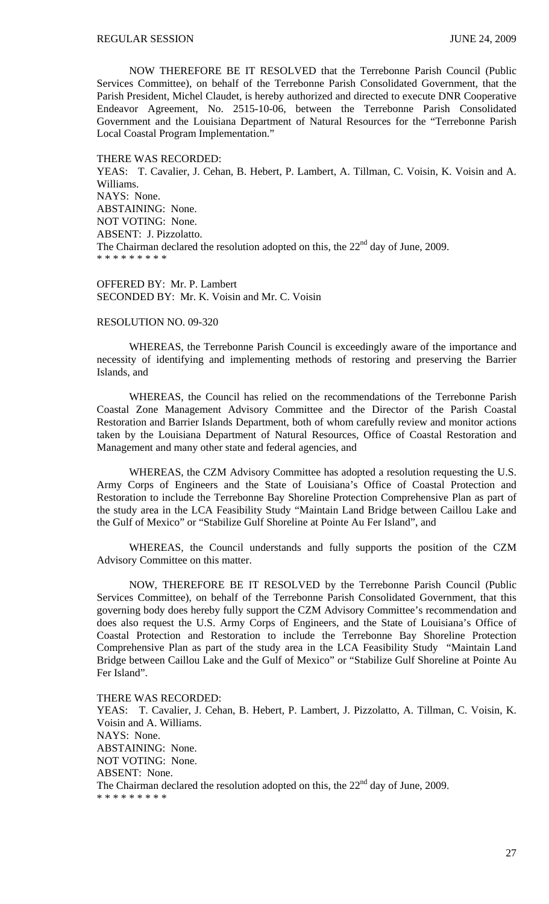NOW THEREFORE BE IT RESOLVED that the Terrebonne Parish Council (Public Services Committee), on behalf of the Terrebonne Parish Consolidated Government, that the Parish President, Michel Claudet, is hereby authorized and directed to execute DNR Cooperative Endeavor Agreement, No. 2515-10-06, between the Terrebonne Parish Consolidated Government and the Louisiana Department of Natural Resources for the "Terrebonne Parish Local Coastal Program Implementation."

THERE WAS RECORDED:

YEAS: T. Cavalier, J. Cehan, B. Hebert, P. Lambert, A. Tillman, C. Voisin, K. Voisin and A. Williams. NAYS: None. ABSTAINING: None. NOT VOTING: None. ABSENT: J. Pizzolatto. The Chairman declared the resolution adopted on this, the  $22<sup>nd</sup>$  day of June, 2009. \* \* \* \* \* \* \* \* \*

OFFERED BY: Mr. P. Lambert SECONDED BY: Mr. K. Voisin and Mr. C. Voisin

### RESOLUTION NO. 09-320

 WHEREAS, the Terrebonne Parish Council is exceedingly aware of the importance and necessity of identifying and implementing methods of restoring and preserving the Barrier Islands, and

 WHEREAS, the Council has relied on the recommendations of the Terrebonne Parish Coastal Zone Management Advisory Committee and the Director of the Parish Coastal Restoration and Barrier Islands Department, both of whom carefully review and monitor actions taken by the Louisiana Department of Natural Resources, Office of Coastal Restoration and Management and many other state and federal agencies, and

 WHEREAS, the CZM Advisory Committee has adopted a resolution requesting the U.S. Army Corps of Engineers and the State of Louisiana's Office of Coastal Protection and Restoration to include the Terrebonne Bay Shoreline Protection Comprehensive Plan as part of the study area in the LCA Feasibility Study "Maintain Land Bridge between Caillou Lake and the Gulf of Mexico" or "Stabilize Gulf Shoreline at Pointe Au Fer Island", and

 WHEREAS, the Council understands and fully supports the position of the CZM Advisory Committee on this matter.

 NOW, THEREFORE BE IT RESOLVED by the Terrebonne Parish Council (Public Services Committee), on behalf of the Terrebonne Parish Consolidated Government, that this governing body does hereby fully support the CZM Advisory Committee's recommendation and does also request the U.S. Army Corps of Engineers, and the State of Louisiana's Office of Coastal Protection and Restoration to include the Terrebonne Bay Shoreline Protection Comprehensive Plan as part of the study area in the LCA Feasibility Study "Maintain Land Bridge between Caillou Lake and the Gulf of Mexico" or "Stabilize Gulf Shoreline at Pointe Au Fer Island".

THERE WAS RECORDED: YEAS: T. Cavalier, J. Cehan, B. Hebert, P. Lambert, J. Pizzolatto, A. Tillman, C. Voisin, K. Voisin and A. Williams. NAYS: None. ABSTAINING: None. NOT VOTING: None. ABSENT: None. The Chairman declared the resolution adopted on this, the  $22<sup>nd</sup>$  day of June, 2009. \* \* \* \* \* \* \* \* \*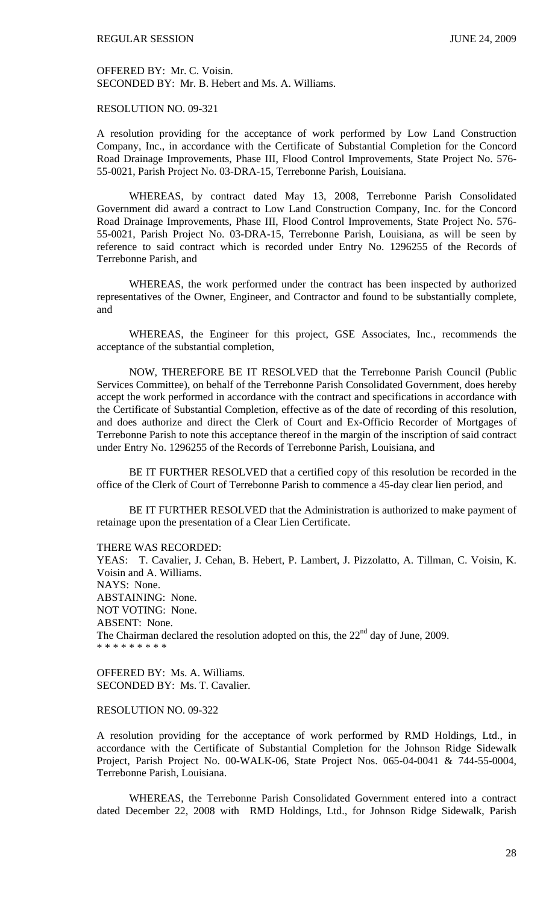OFFERED BY: Mr. C. Voisin. SECONDED BY: Mr. B. Hebert and Ms. A. Williams.

# RESOLUTION NO. 09-321

A resolution providing for the acceptance of work performed by Low Land Construction Company, Inc., in accordance with the Certificate of Substantial Completion for the Concord Road Drainage Improvements, Phase III, Flood Control Improvements, State Project No. 576- 55-0021, Parish Project No. 03-DRA-15, Terrebonne Parish, Louisiana.

 WHEREAS, by contract dated May 13, 2008, Terrebonne Parish Consolidated Government did award a contract to Low Land Construction Company, Inc. for the Concord Road Drainage Improvements, Phase III, Flood Control Improvements, State Project No. 576- 55-0021, Parish Project No. 03-DRA-15, Terrebonne Parish, Louisiana, as will be seen by reference to said contract which is recorded under Entry No. 1296255 of the Records of Terrebonne Parish, and

 WHEREAS, the work performed under the contract has been inspected by authorized representatives of the Owner, Engineer, and Contractor and found to be substantially complete, and

 WHEREAS, the Engineer for this project, GSE Associates, Inc., recommends the acceptance of the substantial completion,

 NOW, THEREFORE BE IT RESOLVED that the Terrebonne Parish Council (Public Services Committee), on behalf of the Terrebonne Parish Consolidated Government, does hereby accept the work performed in accordance with the contract and specifications in accordance with the Certificate of Substantial Completion, effective as of the date of recording of this resolution, and does authorize and direct the Clerk of Court and Ex-Officio Recorder of Mortgages of Terrebonne Parish to note this acceptance thereof in the margin of the inscription of said contract under Entry No. 1296255 of the Records of Terrebonne Parish, Louisiana, and

 BE IT FURTHER RESOLVED that a certified copy of this resolution be recorded in the office of the Clerk of Court of Terrebonne Parish to commence a 45-day clear lien period, and

 BE IT FURTHER RESOLVED that the Administration is authorized to make payment of retainage upon the presentation of a Clear Lien Certificate.

THERE WAS RECORDED:

YEAS: T. Cavalier, J. Cehan, B. Hebert, P. Lambert, J. Pizzolatto, A. Tillman, C. Voisin, K. Voisin and A. Williams. NAYS: None. ABSTAINING: None. NOT VOTING: None. ABSENT: None. The Chairman declared the resolution adopted on this, the  $22<sup>nd</sup>$  day of June, 2009. \* \* \* \* \* \* \* \* \*

OFFERED BY: Ms. A. Williams. SECONDED BY: Ms. T. Cavalier.

### RESOLUTION NO. 09-322

A resolution providing for the acceptance of work performed by RMD Holdings, Ltd., in accordance with the Certificate of Substantial Completion for the Johnson Ridge Sidewalk Project, Parish Project No. 00-WALK-06, State Project Nos. 065-04-0041 & 744-55-0004, Terrebonne Parish, Louisiana.

 WHEREAS, the Terrebonne Parish Consolidated Government entered into a contract dated December 22, 2008 with RMD Holdings, Ltd., for Johnson Ridge Sidewalk, Parish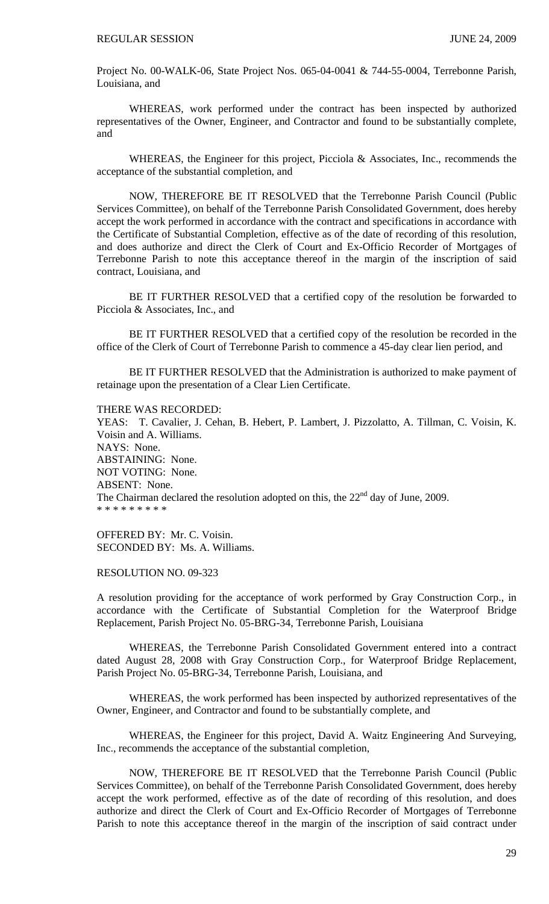Project No. 00-WALK-06, State Project Nos. 065-04-0041 & 744-55-0004, Terrebonne Parish, Louisiana, and

 WHEREAS, work performed under the contract has been inspected by authorized representatives of the Owner, Engineer, and Contractor and found to be substantially complete, and

 WHEREAS, the Engineer for this project, Picciola & Associates, Inc., recommends the acceptance of the substantial completion, and

 NOW, THEREFORE BE IT RESOLVED that the Terrebonne Parish Council (Public Services Committee), on behalf of the Terrebonne Parish Consolidated Government, does hereby accept the work performed in accordance with the contract and specifications in accordance with the Certificate of Substantial Completion, effective as of the date of recording of this resolution, and does authorize and direct the Clerk of Court and Ex-Officio Recorder of Mortgages of Terrebonne Parish to note this acceptance thereof in the margin of the inscription of said contract, Louisiana, and

 BE IT FURTHER RESOLVED that a certified copy of the resolution be forwarded to Picciola & Associates, Inc., and

 BE IT FURTHER RESOLVED that a certified copy of the resolution be recorded in the office of the Clerk of Court of Terrebonne Parish to commence a 45-day clear lien period, and

 BE IT FURTHER RESOLVED that the Administration is authorized to make payment of retainage upon the presentation of a Clear Lien Certificate.

THERE WAS RECORDED:

YEAS: T. Cavalier, J. Cehan, B. Hebert, P. Lambert, J. Pizzolatto, A. Tillman, C. Voisin, K. Voisin and A. Williams. NAYS: None. ABSTAINING: None. NOT VOTING: None. ABSENT: None. The Chairman declared the resolution adopted on this, the  $22<sup>nd</sup>$  day of June, 2009. \* \* \* \* \* \* \* \* \*

OFFERED BY: Mr. C. Voisin. SECONDED BY: Ms. A. Williams.

RESOLUTION NO. 09-323

A resolution providing for the acceptance of work performed by Gray Construction Corp., in accordance with the Certificate of Substantial Completion for the Waterproof Bridge Replacement, Parish Project No. 05-BRG-34, Terrebonne Parish, Louisiana

 WHEREAS, the Terrebonne Parish Consolidated Government entered into a contract dated August 28, 2008 with Gray Construction Corp., for Waterproof Bridge Replacement, Parish Project No. 05-BRG-34, Terrebonne Parish, Louisiana, and

 WHEREAS, the work performed has been inspected by authorized representatives of the Owner, Engineer, and Contractor and found to be substantially complete, and

 WHEREAS, the Engineer for this project, David A. Waitz Engineering And Surveying, Inc., recommends the acceptance of the substantial completion,

 NOW, THEREFORE BE IT RESOLVED that the Terrebonne Parish Council (Public Services Committee), on behalf of the Terrebonne Parish Consolidated Government, does hereby accept the work performed, effective as of the date of recording of this resolution, and does authorize and direct the Clerk of Court and Ex-Officio Recorder of Mortgages of Terrebonne Parish to note this acceptance thereof in the margin of the inscription of said contract under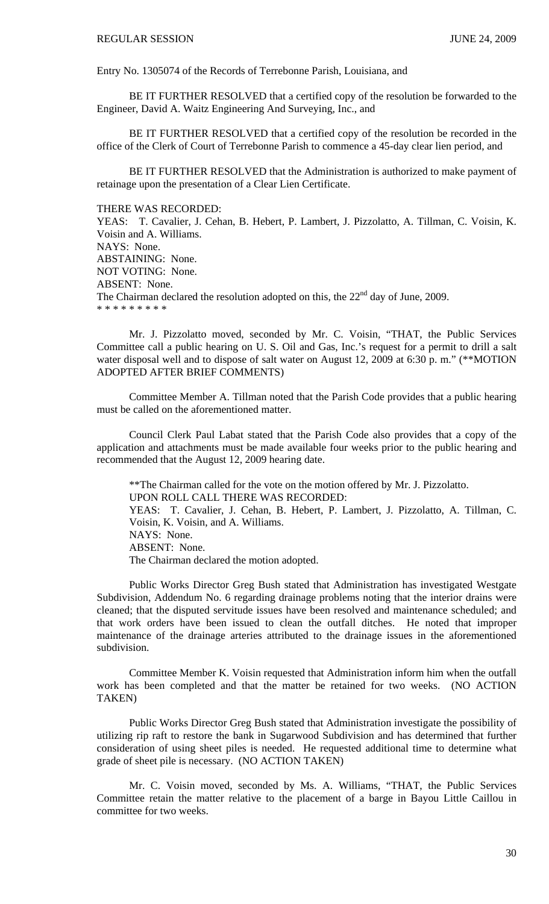Entry No. 1305074 of the Records of Terrebonne Parish, Louisiana, and

 BE IT FURTHER RESOLVED that a certified copy of the resolution be forwarded to the Engineer, David A. Waitz Engineering And Surveying, Inc., and

 BE IT FURTHER RESOLVED that a certified copy of the resolution be recorded in the office of the Clerk of Court of Terrebonne Parish to commence a 45-day clear lien period, and

 BE IT FURTHER RESOLVED that the Administration is authorized to make payment of retainage upon the presentation of a Clear Lien Certificate.

#### THERE WAS RECORDED:

YEAS: T. Cavalier, J. Cehan, B. Hebert, P. Lambert, J. Pizzolatto, A. Tillman, C. Voisin, K. Voisin and A. Williams. NAYS: None. ABSTAINING: None. NOT VOTING: None. ABSENT: None. The Chairman declared the resolution adopted on this, the  $22<sup>nd</sup>$  day of June, 2009. \* \* \* \* \* \* \* \* \*

 Mr. J. Pizzolatto moved, seconded by Mr. C. Voisin, "THAT, the Public Services Committee call a public hearing on U. S. Oil and Gas, Inc.'s request for a permit to drill a salt water disposal well and to dispose of salt water on August 12, 2009 at 6:30 p. m." (\*\*MOTION ADOPTED AFTER BRIEF COMMENTS)

 Committee Member A. Tillman noted that the Parish Code provides that a public hearing must be called on the aforementioned matter.

 Council Clerk Paul Labat stated that the Parish Code also provides that a copy of the application and attachments must be made available four weeks prior to the public hearing and recommended that the August 12, 2009 hearing date.

 \*\*The Chairman called for the vote on the motion offered by Mr. J. Pizzolatto. UPON ROLL CALL THERE WAS RECORDED: YEAS: T. Cavalier, J. Cehan, B. Hebert, P. Lambert, J. Pizzolatto, A. Tillman, C. Voisin, K. Voisin, and A. Williams. NAYS: None. ABSENT: None. The Chairman declared the motion adopted.

 Public Works Director Greg Bush stated that Administration has investigated Westgate Subdivision, Addendum No. 6 regarding drainage problems noting that the interior drains were cleaned; that the disputed servitude issues have been resolved and maintenance scheduled; and that work orders have been issued to clean the outfall ditches. He noted that improper maintenance of the drainage arteries attributed to the drainage issues in the aforementioned subdivision.

 Committee Member K. Voisin requested that Administration inform him when the outfall work has been completed and that the matter be retained for two weeks. (NO ACTION TAKEN)

 Public Works Director Greg Bush stated that Administration investigate the possibility of utilizing rip raft to restore the bank in Sugarwood Subdivision and has determined that further consideration of using sheet piles is needed. He requested additional time to determine what grade of sheet pile is necessary. (NO ACTION TAKEN)

 Mr. C. Voisin moved, seconded by Ms. A. Williams, "THAT, the Public Services Committee retain the matter relative to the placement of a barge in Bayou Little Caillou in committee for two weeks.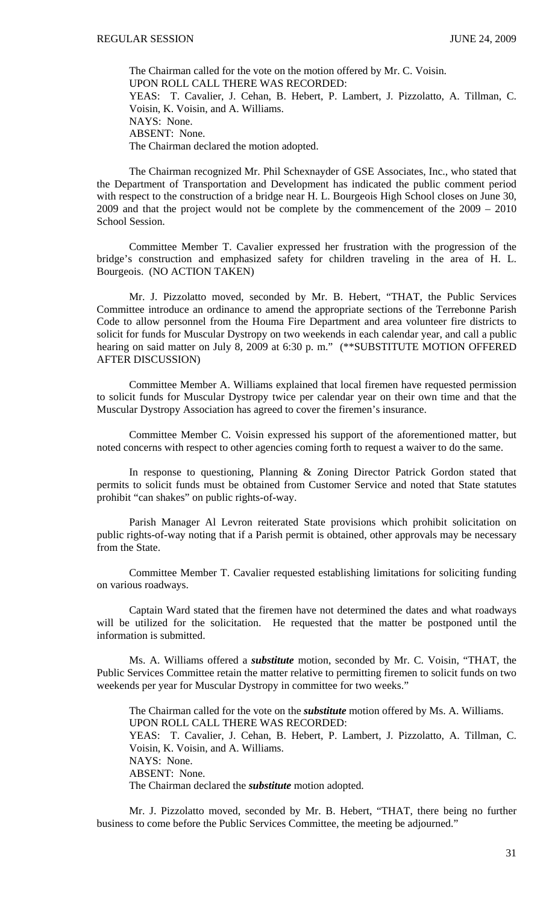The Chairman called for the vote on the motion offered by Mr. C. Voisin. UPON ROLL CALL THERE WAS RECORDED: YEAS: T. Cavalier, J. Cehan, B. Hebert, P. Lambert, J. Pizzolatto, A. Tillman, C. Voisin, K. Voisin, and A. Williams. NAYS: None. ABSENT: None. The Chairman declared the motion adopted.

 The Chairman recognized Mr. Phil Schexnayder of GSE Associates, Inc., who stated that the Department of Transportation and Development has indicated the public comment period with respect to the construction of a bridge near H. L. Bourgeois High School closes on June 30, 2009 and that the project would not be complete by the commencement of the 2009 – 2010 School Session.

 Committee Member T. Cavalier expressed her frustration with the progression of the bridge's construction and emphasized safety for children traveling in the area of H. L. Bourgeois. (NO ACTION TAKEN)

 Mr. J. Pizzolatto moved, seconded by Mr. B. Hebert, "THAT, the Public Services Committee introduce an ordinance to amend the appropriate sections of the Terrebonne Parish Code to allow personnel from the Houma Fire Department and area volunteer fire districts to solicit for funds for Muscular Dystropy on two weekends in each calendar year, and call a public hearing on said matter on July 8, 2009 at 6:30 p.m." (\*\*SUBSTITUTE MOTION OFFERED AFTER DISCUSSION)

 Committee Member A. Williams explained that local firemen have requested permission to solicit funds for Muscular Dystropy twice per calendar year on their own time and that the Muscular Dystropy Association has agreed to cover the firemen's insurance.

 Committee Member C. Voisin expressed his support of the aforementioned matter, but noted concerns with respect to other agencies coming forth to request a waiver to do the same.

 In response to questioning, Planning & Zoning Director Patrick Gordon stated that permits to solicit funds must be obtained from Customer Service and noted that State statutes prohibit "can shakes" on public rights-of-way.

 Parish Manager Al Levron reiterated State provisions which prohibit solicitation on public rights-of-way noting that if a Parish permit is obtained, other approvals may be necessary from the State.

 Committee Member T. Cavalier requested establishing limitations for soliciting funding on various roadways.

 Captain Ward stated that the firemen have not determined the dates and what roadways will be utilized for the solicitation. He requested that the matter be postponed until the information is submitted.

 Ms. A. Williams offered a *substitute* motion, seconded by Mr. C. Voisin, "THAT, the Public Services Committee retain the matter relative to permitting firemen to solicit funds on two weekends per year for Muscular Dystropy in committee for two weeks."

 The Chairman called for the vote on the *substitute* motion offered by Ms. A. Williams. UPON ROLL CALL THERE WAS RECORDED: YEAS: T. Cavalier, J. Cehan, B. Hebert, P. Lambert, J. Pizzolatto, A. Tillman, C. Voisin, K. Voisin, and A. Williams. NAYS: None. ABSENT: None. The Chairman declared the *substitute* motion adopted.

 Mr. J. Pizzolatto moved, seconded by Mr. B. Hebert, "THAT, there being no further business to come before the Public Services Committee, the meeting be adjourned."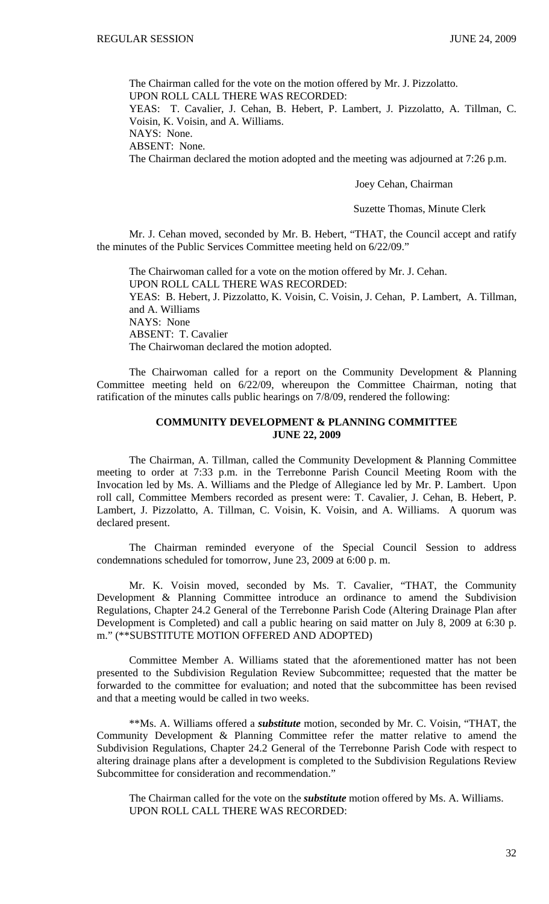The Chairman called for the vote on the motion offered by Mr. J. Pizzolatto. UPON ROLL CALL THERE WAS RECORDED:

YEAS: T. Cavalier, J. Cehan, B. Hebert, P. Lambert, J. Pizzolatto, A. Tillman, C. Voisin, K. Voisin, and A. Williams.

NAYS: None.

ABSENT: None.

The Chairman declared the motion adopted and the meeting was adjourned at 7:26 p.m.

Joey Cehan, Chairman

Suzette Thomas, Minute Clerk

Mr. J. Cehan moved, seconded by Mr. B. Hebert, "THAT, the Council accept and ratify the minutes of the Public Services Committee meeting held on 6/22/09."

 The Chairwoman called for a vote on the motion offered by Mr. J. Cehan. UPON ROLL CALL THERE WAS RECORDED: YEAS: B. Hebert, J. Pizzolatto, K. Voisin, C. Voisin, J. Cehan, P. Lambert, A. Tillman, and A. Williams NAYS: None ABSENT: T. Cavalier The Chairwoman declared the motion adopted.

 The Chairwoman called for a report on the Community Development & Planning Committee meeting held on 6/22/09, whereupon the Committee Chairman, noting that ratification of the minutes calls public hearings on 7/8/09, rendered the following:

# **COMMUNITY DEVELOPMENT & PLANNING COMMITTEE JUNE 22, 2009**

 The Chairman, A. Tillman, called the Community Development & Planning Committee meeting to order at 7:33 p.m. in the Terrebonne Parish Council Meeting Room with the Invocation led by Ms. A. Williams and the Pledge of Allegiance led by Mr. P. Lambert. Upon roll call, Committee Members recorded as present were: T. Cavalier, J. Cehan, B. Hebert, P. Lambert, J. Pizzolatto, A. Tillman, C. Voisin, K. Voisin, and A. Williams. A quorum was declared present.

 The Chairman reminded everyone of the Special Council Session to address condemnations scheduled for tomorrow, June 23, 2009 at 6:00 p. m.

 Mr. K. Voisin moved, seconded by Ms. T. Cavalier, "THAT, the Community Development & Planning Committee introduce an ordinance to amend the Subdivision Regulations, Chapter 24.2 General of the Terrebonne Parish Code (Altering Drainage Plan after Development is Completed) and call a public hearing on said matter on July 8, 2009 at 6:30 p. m." (\*\*SUBSTITUTE MOTION OFFERED AND ADOPTED)

 Committee Member A. Williams stated that the aforementioned matter has not been presented to the Subdivision Regulation Review Subcommittee; requested that the matter be forwarded to the committee for evaluation; and noted that the subcommittee has been revised and that a meeting would be called in two weeks.

 \*\*Ms. A. Williams offered a *substitute* motion, seconded by Mr. C. Voisin, "THAT, the Community Development & Planning Committee refer the matter relative to amend the Subdivision Regulations, Chapter 24.2 General of the Terrebonne Parish Code with respect to altering drainage plans after a development is completed to the Subdivision Regulations Review Subcommittee for consideration and recommendation."

The Chairman called for the vote on the *substitute* motion offered by Ms. A. Williams. UPON ROLL CALL THERE WAS RECORDED: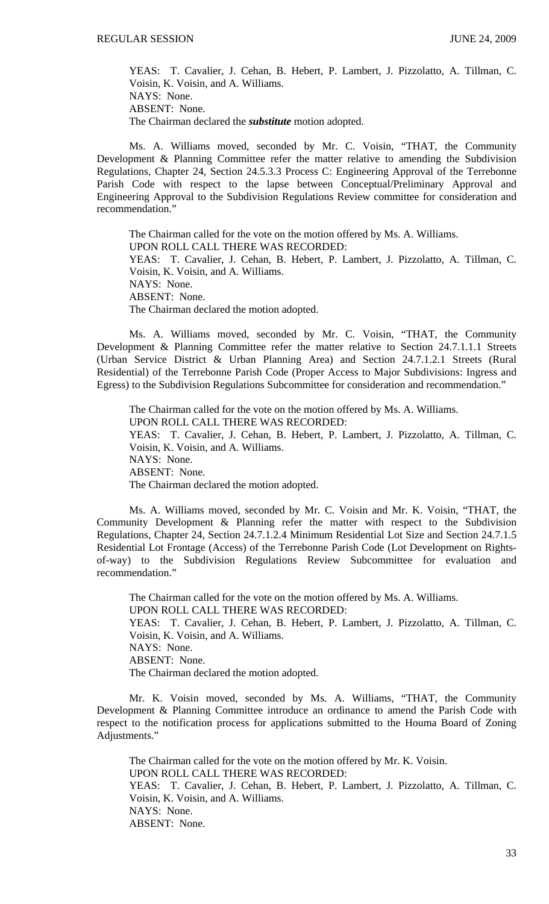YEAS: T. Cavalier, J. Cehan, B. Hebert, P. Lambert, J. Pizzolatto, A. Tillman, C. Voisin, K. Voisin, and A. Williams. NAYS: None. ABSENT: None. The Chairman declared the *substitute* motion adopted.

 Ms. A. Williams moved, seconded by Mr. C. Voisin, "THAT, the Community Development & Planning Committee refer the matter relative to amending the Subdivision Regulations, Chapter 24, Section 24.5.3.3 Process C: Engineering Approval of the Terrebonne Parish Code with respect to the lapse between Conceptual/Preliminary Approval and Engineering Approval to the Subdivision Regulations Review committee for consideration and recommendation."

The Chairman called for the vote on the motion offered by Ms. A. Williams. UPON ROLL CALL THERE WAS RECORDED: YEAS: T. Cavalier, J. Cehan, B. Hebert, P. Lambert, J. Pizzolatto, A. Tillman, C. Voisin, K. Voisin, and A. Williams. NAYS: None. ABSENT: None. The Chairman declared the motion adopted.

 Ms. A. Williams moved, seconded by Mr. C. Voisin, "THAT, the Community Development & Planning Committee refer the matter relative to Section 24.7.1.1.1 Streets (Urban Service District & Urban Planning Area) and Section 24.7.1.2.1 Streets (Rural Residential) of the Terrebonne Parish Code (Proper Access to Major Subdivisions: Ingress and Egress) to the Subdivision Regulations Subcommittee for consideration and recommendation."

The Chairman called for the vote on the motion offered by Ms. A. Williams. UPON ROLL CALL THERE WAS RECORDED: YEAS: T. Cavalier, J. Cehan, B. Hebert, P. Lambert, J. Pizzolatto, A. Tillman, C. Voisin, K. Voisin, and A. Williams. NAYS: None. ABSENT: None. The Chairman declared the motion adopted.

 Ms. A. Williams moved, seconded by Mr. C. Voisin and Mr. K. Voisin, "THAT, the Community Development & Planning refer the matter with respect to the Subdivision Regulations, Chapter 24, Section 24.7.1.2.4 Minimum Residential Lot Size and Section 24.7.1.5 Residential Lot Frontage (Access) of the Terrebonne Parish Code (Lot Development on Rightsof-way) to the Subdivision Regulations Review Subcommittee for evaluation and recommendation."

The Chairman called for the vote on the motion offered by Ms. A. Williams. UPON ROLL CALL THERE WAS RECORDED: YEAS: T. Cavalier, J. Cehan, B. Hebert, P. Lambert, J. Pizzolatto, A. Tillman, C. Voisin, K. Voisin, and A. Williams. NAYS: None. ABSENT: None. The Chairman declared the motion adopted.

 Mr. K. Voisin moved, seconded by Ms. A. Williams, "THAT, the Community Development & Planning Committee introduce an ordinance to amend the Parish Code with respect to the notification process for applications submitted to the Houma Board of Zoning Adjustments."

The Chairman called for the vote on the motion offered by Mr. K. Voisin. UPON ROLL CALL THERE WAS RECORDED: YEAS: T. Cavalier, J. Cehan, B. Hebert, P. Lambert, J. Pizzolatto, A. Tillman, C. Voisin, K. Voisin, and A. Williams. NAYS: None. ABSENT: None.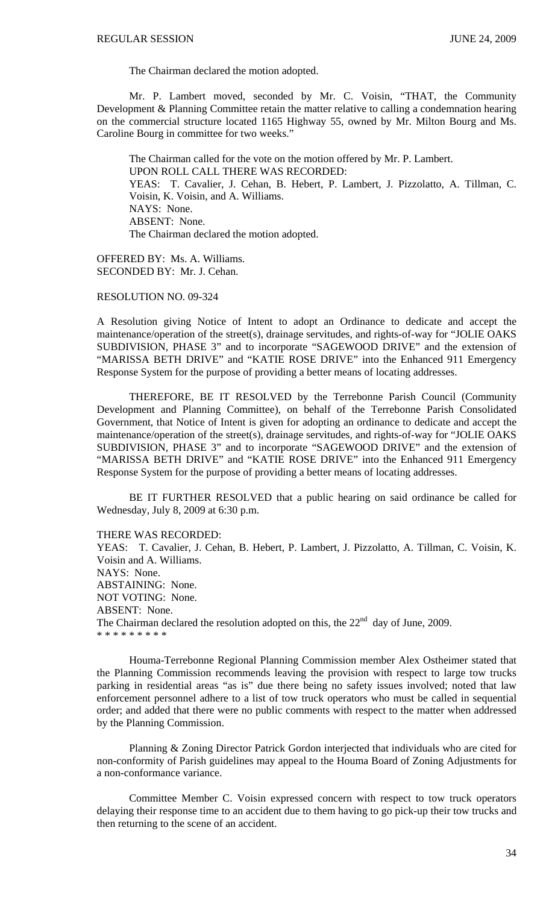The Chairman declared the motion adopted.

Mr. P. Lambert moved, seconded by Mr. C. Voisin, "THAT, the Community Development & Planning Committee retain the matter relative to calling a condemnation hearing on the commercial structure located 1165 Highway 55, owned by Mr. Milton Bourg and Ms. Caroline Bourg in committee for two weeks."

The Chairman called for the vote on the motion offered by Mr. P. Lambert. UPON ROLL CALL THERE WAS RECORDED: YEAS: T. Cavalier, J. Cehan, B. Hebert, P. Lambert, J. Pizzolatto, A. Tillman, C. Voisin, K. Voisin, and A. Williams. NAYS: None. ABSENT: None. The Chairman declared the motion adopted.

OFFERED BY: Ms. A. Williams. SECONDED BY: Mr. J. Cehan.

RESOLUTION NO. 09-324

A Resolution giving Notice of Intent to adopt an Ordinance to dedicate and accept the maintenance/operation of the street(s), drainage servitudes, and rights-of-way for "JOLIE OAKS SUBDIVISION, PHASE 3" and to incorporate "SAGEWOOD DRIVE" and the extension of "MARISSA BETH DRIVE" and "KATIE ROSE DRIVE" into the Enhanced 911 Emergency Response System for the purpose of providing a better means of locating addresses.

THEREFORE, BE IT RESOLVED by the Terrebonne Parish Council (Community Development and Planning Committee), on behalf of the Terrebonne Parish Consolidated Government, that Notice of Intent is given for adopting an ordinance to dedicate and accept the maintenance/operation of the street(s), drainage servitudes, and rights-of-way for "JOLIE OAKS SUBDIVISION, PHASE 3" and to incorporate "SAGEWOOD DRIVE" and the extension of "MARISSA BETH DRIVE" and "KATIE ROSE DRIVE" into the Enhanced 911 Emergency Response System for the purpose of providing a better means of locating addresses.

 BE IT FURTHER RESOLVED that a public hearing on said ordinance be called for Wednesday, July 8, 2009 at 6:30 p.m.

THERE WAS RECORDED:

YEAS: T. Cavalier, J. Cehan, B. Hebert, P. Lambert, J. Pizzolatto, A. Tillman, C. Voisin, K. Voisin and A. Williams. NAYS: None. ABSTAINING: None. NOT VOTING: None. ABSENT: None. The Chairman declared the resolution adopted on this, the  $22<sup>nd</sup>$  day of June, 2009. \* \* \* \* \* \* \* \* \*

Houma-Terrebonne Regional Planning Commission member Alex Ostheimer stated that the Planning Commission recommends leaving the provision with respect to large tow trucks parking in residential areas "as is" due there being no safety issues involved; noted that law enforcement personnel adhere to a list of tow truck operators who must be called in sequential order; and added that there were no public comments with respect to the matter when addressed by the Planning Commission.

 Planning & Zoning Director Patrick Gordon interjected that individuals who are cited for non-conformity of Parish guidelines may appeal to the Houma Board of Zoning Adjustments for a non-conformance variance.

 Committee Member C. Voisin expressed concern with respect to tow truck operators delaying their response time to an accident due to them having to go pick-up their tow trucks and then returning to the scene of an accident.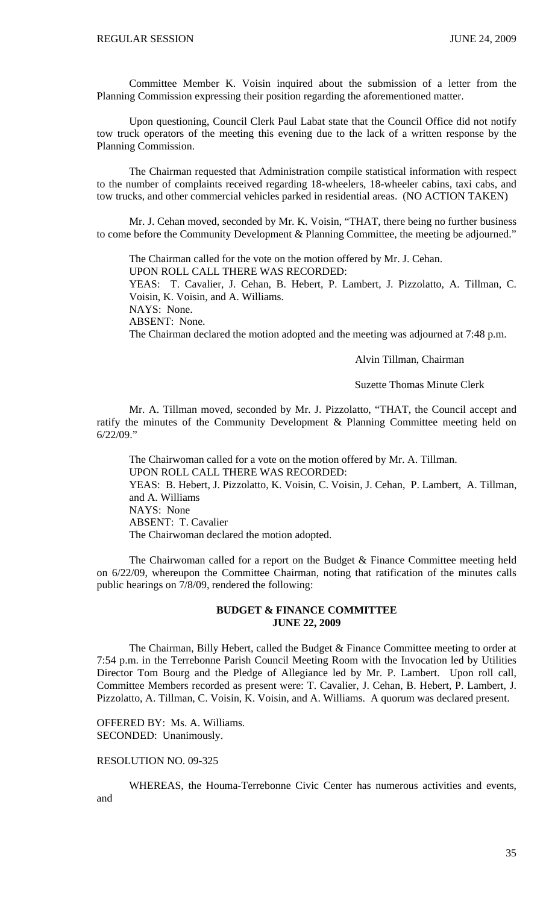Committee Member K. Voisin inquired about the submission of a letter from the Planning Commission expressing their position regarding the aforementioned matter.

 Upon questioning, Council Clerk Paul Labat state that the Council Office did not notify tow truck operators of the meeting this evening due to the lack of a written response by the Planning Commission.

 The Chairman requested that Administration compile statistical information with respect to the number of complaints received regarding 18-wheelers, 18-wheeler cabins, taxi cabs, and tow trucks, and other commercial vehicles parked in residential areas. (NO ACTION TAKEN)

 Mr. J. Cehan moved, seconded by Mr. K. Voisin, "THAT, there being no further business to come before the Community Development & Planning Committee, the meeting be adjourned."

 The Chairman called for the vote on the motion offered by Mr. J. Cehan. UPON ROLL CALL THERE WAS RECORDED:

YEAS: T. Cavalier, J. Cehan, B. Hebert, P. Lambert, J. Pizzolatto, A. Tillman, C. Voisin, K. Voisin, and A. Williams.

NAYS: None.

ABSENT: None.

The Chairman declared the motion adopted and the meeting was adjourned at 7:48 p.m.

Alvin Tillman, Chairman

Suzette Thomas Minute Clerk

Mr. A. Tillman moved, seconded by Mr. J. Pizzolatto, "THAT, the Council accept and ratify the minutes of the Community Development & Planning Committee meeting held on 6/22/09."

 The Chairwoman called for a vote on the motion offered by Mr. A. Tillman. UPON ROLL CALL THERE WAS RECORDED: YEAS: B. Hebert, J. Pizzolatto, K. Voisin, C. Voisin, J. Cehan, P. Lambert, A. Tillman, and A. Williams NAYS: None ABSENT: T. Cavalier The Chairwoman declared the motion adopted.

 The Chairwoman called for a report on the Budget & Finance Committee meeting held on 6/22/09, whereupon the Committee Chairman, noting that ratification of the minutes calls public hearings on 7/8/09, rendered the following:

# **BUDGET & FINANCE COMMITTEE JUNE 22, 2009**

 The Chairman, Billy Hebert, called the Budget & Finance Committee meeting to order at 7:54 p.m. in the Terrebonne Parish Council Meeting Room with the Invocation led by Utilities Director Tom Bourg and the Pledge of Allegiance led by Mr. P. Lambert. Upon roll call, Committee Members recorded as present were: T. Cavalier, J. Cehan, B. Hebert, P. Lambert, J. Pizzolatto, A. Tillman, C. Voisin, K. Voisin, and A. Williams. A quorum was declared present.

OFFERED BY: Ms. A. Williams. SECONDED: Unanimously.

### RESOLUTION NO. 09-325

 WHEREAS, the Houma-Terrebonne Civic Center has numerous activities and events, and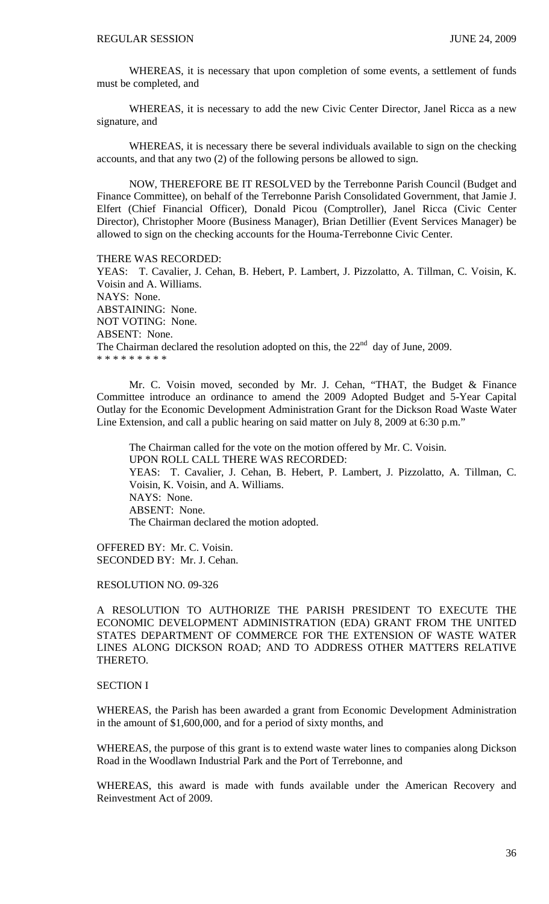WHEREAS, it is necessary that upon completion of some events, a settlement of funds must be completed, and

WHEREAS, it is necessary to add the new Civic Center Director, Janel Ricca as a new signature, and

 WHEREAS, it is necessary there be several individuals available to sign on the checking accounts, and that any two (2) of the following persons be allowed to sign.

 NOW, THEREFORE BE IT RESOLVED by the Terrebonne Parish Council (Budget and Finance Committee), on behalf of the Terrebonne Parish Consolidated Government, that Jamie J. Elfert (Chief Financial Officer), Donald Picou (Comptroller), Janel Ricca (Civic Center Director), Christopher Moore (Business Manager), Brian Detillier (Event Services Manager) be allowed to sign on the checking accounts for the Houma-Terrebonne Civic Center.

THERE WAS RECORDED:

YEAS: T. Cavalier, J. Cehan, B. Hebert, P. Lambert, J. Pizzolatto, A. Tillman, C. Voisin, K. Voisin and A. Williams. NAYS: None. ABSTAINING: None. NOT VOTING: None. ABSENT: None. The Chairman declared the resolution adopted on this, the  $22<sup>nd</sup>$  day of June, 2009. \* \* \* \* \* \* \* \* \*

 Mr. C. Voisin moved, seconded by Mr. J. Cehan, "THAT, the Budget & Finance Committee introduce an ordinance to amend the 2009 Adopted Budget and 5-Year Capital Outlay for the Economic Development Administration Grant for the Dickson Road Waste Water Line Extension, and call a public hearing on said matter on July 8, 2009 at 6:30 p.m."

The Chairman called for the vote on the motion offered by Mr. C. Voisin. UPON ROLL CALL THERE WAS RECORDED: YEAS: T. Cavalier, J. Cehan, B. Hebert, P. Lambert, J. Pizzolatto, A. Tillman, C. Voisin, K. Voisin, and A. Williams. NAYS: None. ABSENT: None. The Chairman declared the motion adopted.

OFFERED BY: Mr. C. Voisin. SECONDED BY: Mr. J. Cehan.

RESOLUTION NO. 09-326

A RESOLUTION TO AUTHORIZE THE PARISH PRESIDENT TO EXECUTE THE ECONOMIC DEVELOPMENT ADMINISTRATION (EDA) GRANT FROM THE UNITED STATES DEPARTMENT OF COMMERCE FOR THE EXTENSION OF WASTE WATER LINES ALONG DICKSON ROAD; AND TO ADDRESS OTHER MATTERS RELATIVE THERETO.

# SECTION I

WHEREAS, the Parish has been awarded a grant from Economic Development Administration in the amount of \$1,600,000, and for a period of sixty months, and

WHEREAS, the purpose of this grant is to extend waste water lines to companies along Dickson Road in the Woodlawn Industrial Park and the Port of Terrebonne, and

WHEREAS, this award is made with funds available under the American Recovery and Reinvestment Act of 2009.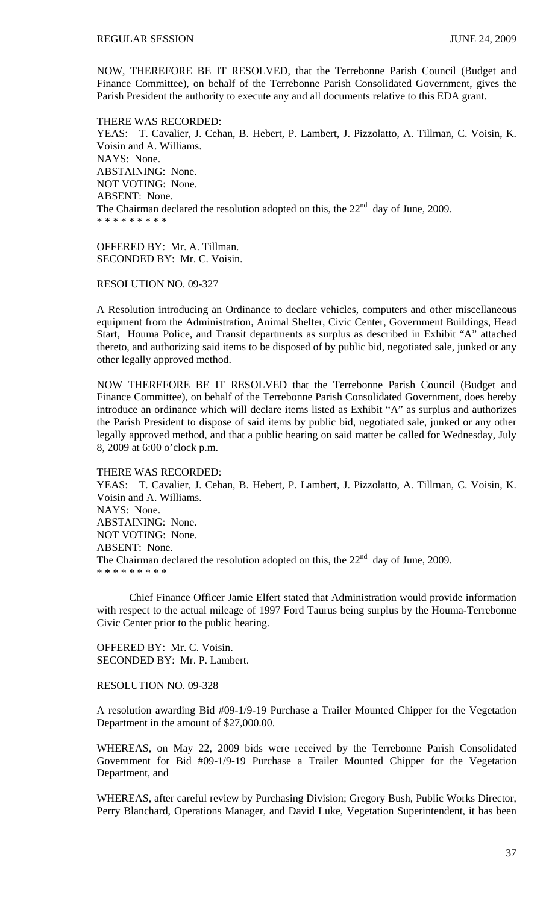NOW, THEREFORE BE IT RESOLVED, that the Terrebonne Parish Council (Budget and Finance Committee), on behalf of the Terrebonne Parish Consolidated Government, gives the Parish President the authority to execute any and all documents relative to this EDA grant.

THERE WAS RECORDED: YEAS: T. Cavalier, J. Cehan, B. Hebert, P. Lambert, J. Pizzolatto, A. Tillman, C. Voisin, K. Voisin and A. Williams. NAYS: None. ABSTAINING: None. NOT VOTING: None. ABSENT: None. The Chairman declared the resolution adopted on this, the  $22<sup>nd</sup>$  day of June, 2009. \* \* \* \* \* \* \* \* \*

OFFERED BY: Mr. A. Tillman. SECONDED BY: Mr. C. Voisin.

RESOLUTION NO. 09-327

A Resolution introducing an Ordinance to declare vehicles, computers and other miscellaneous equipment from the Administration, Animal Shelter, Civic Center, Government Buildings, Head Start, Houma Police, and Transit departments as surplus as described in Exhibit "A" attached thereto, and authorizing said items to be disposed of by public bid, negotiated sale, junked or any other legally approved method.

NOW THEREFORE BE IT RESOLVED that the Terrebonne Parish Council (Budget and Finance Committee), on behalf of the Terrebonne Parish Consolidated Government, does hereby introduce an ordinance which will declare items listed as Exhibit "A" as surplus and authorizes the Parish President to dispose of said items by public bid, negotiated sale, junked or any other legally approved method, and that a public hearing on said matter be called for Wednesday, July 8, 2009 at 6:00 o'clock p.m.

#### THERE WAS RECORDED:

YEAS: T. Cavalier, J. Cehan, B. Hebert, P. Lambert, J. Pizzolatto, A. Tillman, C. Voisin, K. Voisin and A. Williams. NAYS: None. ABSTAINING: None. NOT VOTING: None. ABSENT: None. The Chairman declared the resolution adopted on this, the  $22<sup>nd</sup>$  day of June, 2009. \* \* \* \* \* \* \* \* \*

 Chief Finance Officer Jamie Elfert stated that Administration would provide information with respect to the actual mileage of 1997 Ford Taurus being surplus by the Houma-Terrebonne Civic Center prior to the public hearing.

OFFERED BY: Mr. C. Voisin. SECONDED BY: Mr. P. Lambert.

#### RESOLUTION NO. 09-328

A resolution awarding Bid #09-1/9-19 Purchase a Trailer Mounted Chipper for the Vegetation Department in the amount of \$27,000.00.

WHEREAS, on May 22, 2009 bids were received by the Terrebonne Parish Consolidated Government for Bid #09-1/9-19 Purchase a Trailer Mounted Chipper for the Vegetation Department, and

WHEREAS, after careful review by Purchasing Division; Gregory Bush, Public Works Director, Perry Blanchard, Operations Manager, and David Luke, Vegetation Superintendent, it has been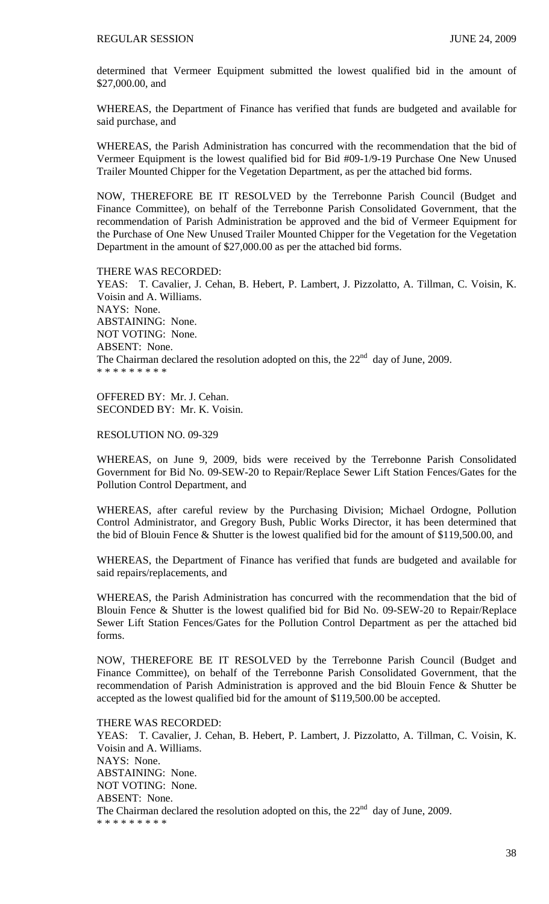determined that Vermeer Equipment submitted the lowest qualified bid in the amount of \$27,000.00, and

WHEREAS, the Department of Finance has verified that funds are budgeted and available for said purchase, and

WHEREAS, the Parish Administration has concurred with the recommendation that the bid of Vermeer Equipment is the lowest qualified bid for Bid #09-1/9-19 Purchase One New Unused Trailer Mounted Chipper for the Vegetation Department, as per the attached bid forms.

NOW, THEREFORE BE IT RESOLVED by the Terrebonne Parish Council (Budget and Finance Committee), on behalf of the Terrebonne Parish Consolidated Government, that the recommendation of Parish Administration be approved and the bid of Vermeer Equipment for the Purchase of One New Unused Trailer Mounted Chipper for the Vegetation for the Vegetation Department in the amount of \$27,000.00 as per the attached bid forms.

#### THERE WAS RECORDED:

YEAS: T. Cavalier, J. Cehan, B. Hebert, P. Lambert, J. Pizzolatto, A. Tillman, C. Voisin, K. Voisin and A. Williams. NAYS: None. ABSTAINING: None. NOT VOTING: None. ABSENT: None. The Chairman declared the resolution adopted on this, the  $22<sup>nd</sup>$  day of June, 2009. \* \* \* \* \* \* \* \* \*

OFFERED BY: Mr. J. Cehan. SECONDED BY: Mr. K. Voisin.

RESOLUTION NO. 09-329

WHEREAS, on June 9, 2009, bids were received by the Terrebonne Parish Consolidated Government for Bid No. 09-SEW-20 to Repair/Replace Sewer Lift Station Fences/Gates for the Pollution Control Department, and

WHEREAS, after careful review by the Purchasing Division; Michael Ordogne, Pollution Control Administrator, and Gregory Bush, Public Works Director, it has been determined that the bid of Blouin Fence & Shutter is the lowest qualified bid for the amount of \$119,500.00, and

WHEREAS, the Department of Finance has verified that funds are budgeted and available for said repairs/replacements, and

WHEREAS, the Parish Administration has concurred with the recommendation that the bid of Blouin Fence & Shutter is the lowest qualified bid for Bid No. 09-SEW-20 to Repair/Replace Sewer Lift Station Fences/Gates for the Pollution Control Department as per the attached bid forms.

NOW, THEREFORE BE IT RESOLVED by the Terrebonne Parish Council (Budget and Finance Committee), on behalf of the Terrebonne Parish Consolidated Government, that the recommendation of Parish Administration is approved and the bid Blouin Fence & Shutter be accepted as the lowest qualified bid for the amount of \$119,500.00 be accepted.

THERE WAS RECORDED: YEAS: T. Cavalier, J. Cehan, B. Hebert, P. Lambert, J. Pizzolatto, A. Tillman, C. Voisin, K. Voisin and A. Williams. NAYS: None. ABSTAINING: None. NOT VOTING: None. ABSENT: None. The Chairman declared the resolution adopted on this, the  $22<sup>nd</sup>$  day of June, 2009. \* \* \* \* \* \* \* \* \*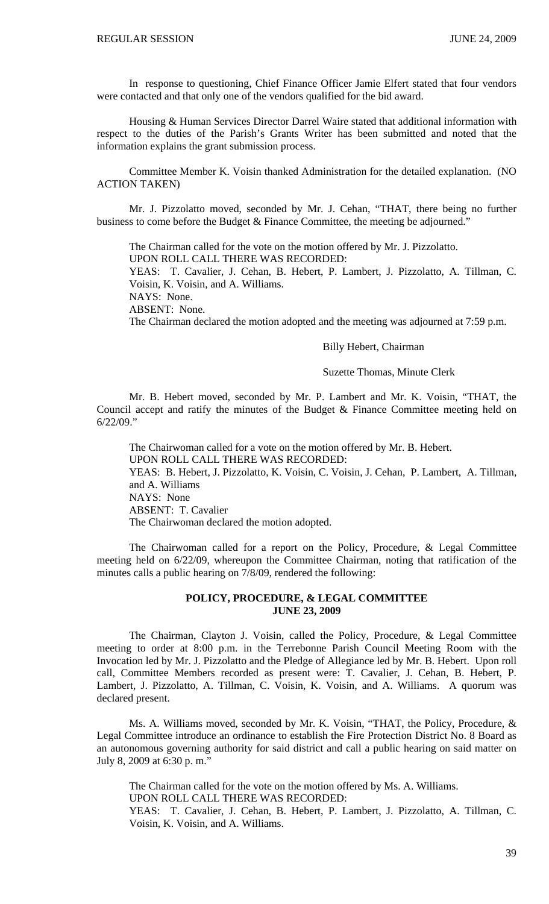In response to questioning, Chief Finance Officer Jamie Elfert stated that four vendors were contacted and that only one of the vendors qualified for the bid award.

 Housing & Human Services Director Darrel Waire stated that additional information with respect to the duties of the Parish's Grants Writer has been submitted and noted that the information explains the grant submission process.

 Committee Member K. Voisin thanked Administration for the detailed explanation. (NO ACTION TAKEN)

 Mr. J. Pizzolatto moved, seconded by Mr. J. Cehan, "THAT, there being no further business to come before the Budget & Finance Committee, the meeting be adjourned."

The Chairman called for the vote on the motion offered by Mr. J. Pizzolatto.

UPON ROLL CALL THERE WAS RECORDED:

YEAS: T. Cavalier, J. Cehan, B. Hebert, P. Lambert, J. Pizzolatto, A. Tillman, C. Voisin, K. Voisin, and A. Williams.

NAYS: None.

ABSENT: None.

The Chairman declared the motion adopted and the meeting was adjourned at 7:59 p.m.

## Billy Hebert, Chairman

### Suzette Thomas, Minute Clerk

 Mr. B. Hebert moved, seconded by Mr. P. Lambert and Mr. K. Voisin, "THAT, the Council accept and ratify the minutes of the Budget & Finance Committee meeting held on 6/22/09."

 The Chairwoman called for a vote on the motion offered by Mr. B. Hebert. UPON ROLL CALL THERE WAS RECORDED: YEAS: B. Hebert, J. Pizzolatto, K. Voisin, C. Voisin, J. Cehan, P. Lambert, A. Tillman, and A. Williams NAYS: None ABSENT: T. Cavalier The Chairwoman declared the motion adopted.

 The Chairwoman called for a report on the Policy, Procedure, & Legal Committee meeting held on 6/22/09, whereupon the Committee Chairman, noting that ratification of the minutes calls a public hearing on 7/8/09, rendered the following:

## **POLICY, PROCEDURE, & LEGAL COMMITTEE JUNE 23, 2009**

 The Chairman, Clayton J. Voisin, called the Policy, Procedure, & Legal Committee meeting to order at 8:00 p.m. in the Terrebonne Parish Council Meeting Room with the Invocation led by Mr. J. Pizzolatto and the Pledge of Allegiance led by Mr. B. Hebert. Upon roll call, Committee Members recorded as present were: T. Cavalier, J. Cehan, B. Hebert, P. Lambert, J. Pizzolatto, A. Tillman, C. Voisin, K. Voisin, and A. Williams. A quorum was declared present.

 Ms. A. Williams moved, seconded by Mr. K. Voisin, "THAT, the Policy, Procedure, & Legal Committee introduce an ordinance to establish the Fire Protection District No. 8 Board as an autonomous governing authority for said district and call a public hearing on said matter on July 8, 2009 at 6:30 p. m."

 The Chairman called for the vote on the motion offered by Ms. A. Williams. UPON ROLL CALL THERE WAS RECORDED: YEAS: T. Cavalier, J. Cehan, B. Hebert, P. Lambert, J. Pizzolatto, A. Tillman, C. Voisin, K. Voisin, and A. Williams.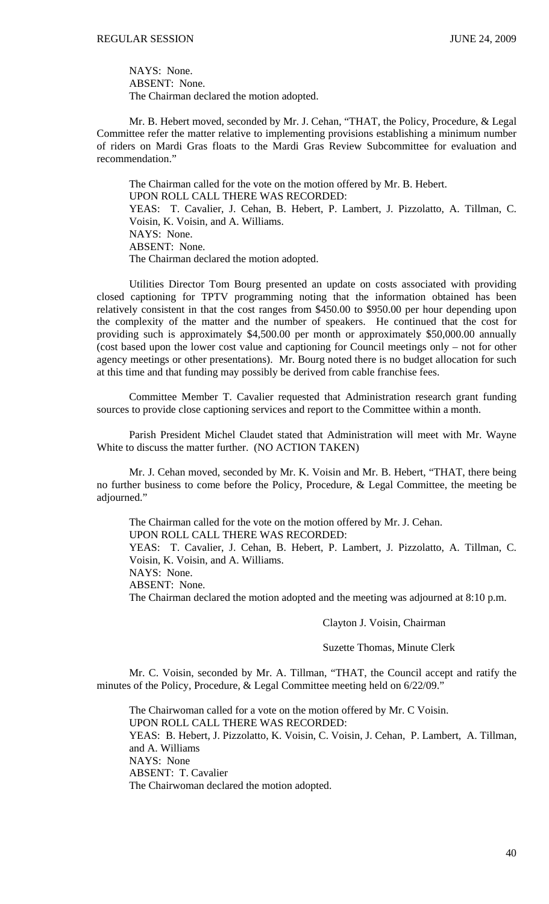NAYS: None. ABSENT: None. The Chairman declared the motion adopted.

 Mr. B. Hebert moved, seconded by Mr. J. Cehan, "THAT, the Policy, Procedure, & Legal Committee refer the matter relative to implementing provisions establishing a minimum number of riders on Mardi Gras floats to the Mardi Gras Review Subcommittee for evaluation and recommendation."

 The Chairman called for the vote on the motion offered by Mr. B. Hebert. UPON ROLL CALL THERE WAS RECORDED: YEAS: T. Cavalier, J. Cehan, B. Hebert, P. Lambert, J. Pizzolatto, A. Tillman, C. Voisin, K. Voisin, and A. Williams. NAYS: None. ABSENT: None. The Chairman declared the motion adopted.

 Utilities Director Tom Bourg presented an update on costs associated with providing closed captioning for TPTV programming noting that the information obtained has been relatively consistent in that the cost ranges from \$450.00 to \$950.00 per hour depending upon the complexity of the matter and the number of speakers. He continued that the cost for providing such is approximately \$4,500.00 per month or approximately \$50,000.00 annually (cost based upon the lower cost value and captioning for Council meetings only – not for other agency meetings or other presentations). Mr. Bourg noted there is no budget allocation for such at this time and that funding may possibly be derived from cable franchise fees.

 Committee Member T. Cavalier requested that Administration research grant funding sources to provide close captioning services and report to the Committee within a month.

 Parish President Michel Claudet stated that Administration will meet with Mr. Wayne White to discuss the matter further. (NO ACTION TAKEN)

 Mr. J. Cehan moved, seconded by Mr. K. Voisin and Mr. B. Hebert, "THAT, there being no further business to come before the Policy, Procedure, & Legal Committee, the meeting be adjourned."

The Chairman called for the vote on the motion offered by Mr. J. Cehan.

UPON ROLL CALL THERE WAS RECORDED:

YEAS: T. Cavalier, J. Cehan, B. Hebert, P. Lambert, J. Pizzolatto, A. Tillman, C. Voisin, K. Voisin, and A. Williams.

NAYS: None.

ABSENT: None.

The Chairman declared the motion adopted and the meeting was adjourned at 8:10 p.m.

#### Clayton J. Voisin, Chairman

#### Suzette Thomas, Minute Clerk

Mr. C. Voisin, seconded by Mr. A. Tillman, "THAT, the Council accept and ratify the minutes of the Policy, Procedure, & Legal Committee meeting held on 6/22/09."

 The Chairwoman called for a vote on the motion offered by Mr. C Voisin. UPON ROLL CALL THERE WAS RECORDED: YEAS: B. Hebert, J. Pizzolatto, K. Voisin, C. Voisin, J. Cehan, P. Lambert, A. Tillman, and A. Williams NAYS: None ABSENT: T. Cavalier The Chairwoman declared the motion adopted.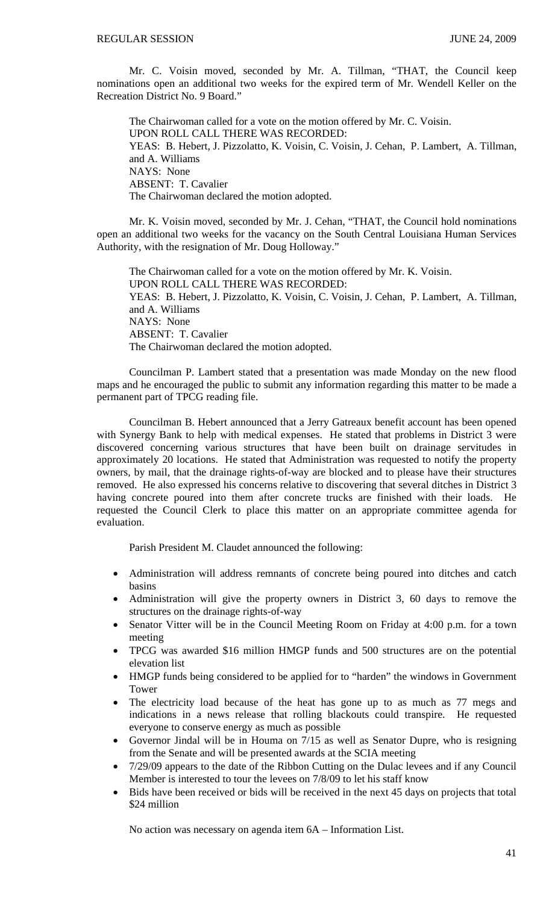Mr. C. Voisin moved, seconded by Mr. A. Tillman, "THAT, the Council keep nominations open an additional two weeks for the expired term of Mr. Wendell Keller on the Recreation District No. 9 Board."

 The Chairwoman called for a vote on the motion offered by Mr. C. Voisin. UPON ROLL CALL THERE WAS RECORDED: YEAS: B. Hebert, J. Pizzolatto, K. Voisin, C. Voisin, J. Cehan, P. Lambert, A. Tillman, and A. Williams NAYS: None ABSENT: T. Cavalier The Chairwoman declared the motion adopted.

 Mr. K. Voisin moved, seconded by Mr. J. Cehan, "THAT, the Council hold nominations open an additional two weeks for the vacancy on the South Central Louisiana Human Services Authority, with the resignation of Mr. Doug Holloway."

 The Chairwoman called for a vote on the motion offered by Mr. K. Voisin. UPON ROLL CALL THERE WAS RECORDED: YEAS: B. Hebert, J. Pizzolatto, K. Voisin, C. Voisin, J. Cehan, P. Lambert, A. Tillman, and A. Williams NAYS: None ABSENT: T. Cavalier The Chairwoman declared the motion adopted.

 Councilman P. Lambert stated that a presentation was made Monday on the new flood maps and he encouraged the public to submit any information regarding this matter to be made a permanent part of TPCG reading file.

 Councilman B. Hebert announced that a Jerry Gatreaux benefit account has been opened with Synergy Bank to help with medical expenses. He stated that problems in District 3 were discovered concerning various structures that have been built on drainage servitudes in approximately 20 locations. He stated that Administration was requested to notify the property owners, by mail, that the drainage rights-of-way are blocked and to please have their structures removed. He also expressed his concerns relative to discovering that several ditches in District 3 having concrete poured into them after concrete trucks are finished with their loads. He requested the Council Clerk to place this matter on an appropriate committee agenda for evaluation.

Parish President M. Claudet announced the following:

- Administration will address remnants of concrete being poured into ditches and catch basins
- Administration will give the property owners in District 3, 60 days to remove the structures on the drainage rights-of-way
- Senator Vitter will be in the Council Meeting Room on Friday at 4:00 p.m. for a town meeting
- TPCG was awarded \$16 million HMGP funds and 500 structures are on the potential elevation list
- HMGP funds being considered to be applied for to "harden" the windows in Government Tower
- The electricity load because of the heat has gone up to as much as 77 megs and indications in a news release that rolling blackouts could transpire. He requested everyone to conserve energy as much as possible
- Governor Jindal will be in Houma on 7/15 as well as Senator Dupre, who is resigning from the Senate and will be presented awards at the SCIA meeting
- 7/29/09 appears to the date of the Ribbon Cutting on the Dulac levees and if any Council Member is interested to tour the levees on 7/8/09 to let his staff know
- Bids have been received or bids will be received in the next 45 days on projects that total \$24 million

No action was necessary on agenda item 6A – Information List.